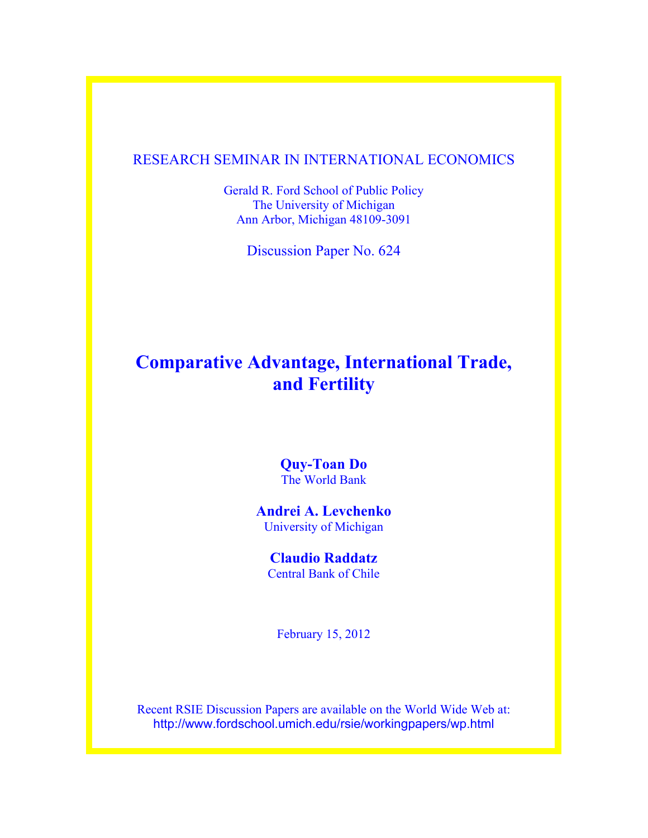### RESEARCH SEMINAR IN INTERNATIONAL ECONOMICS

Gerald R. Ford School of Public Policy The University of Michigan Ann Arbor, Michigan 48109-3091

Discussion Paper No. 624

## **Comparative Advantage, International Trade, and Fertility**

**Quy-Toan Do** The World Bank

**Andrei A. Levchenko** University of Michigan

**Claudio Raddatz** Central Bank of Chile

February 15, 2012

Recent RSIE Discussion Papers are available on the World Wide Web at: http://www.fordschool.umich.edu/rsie/workingpapers/wp.html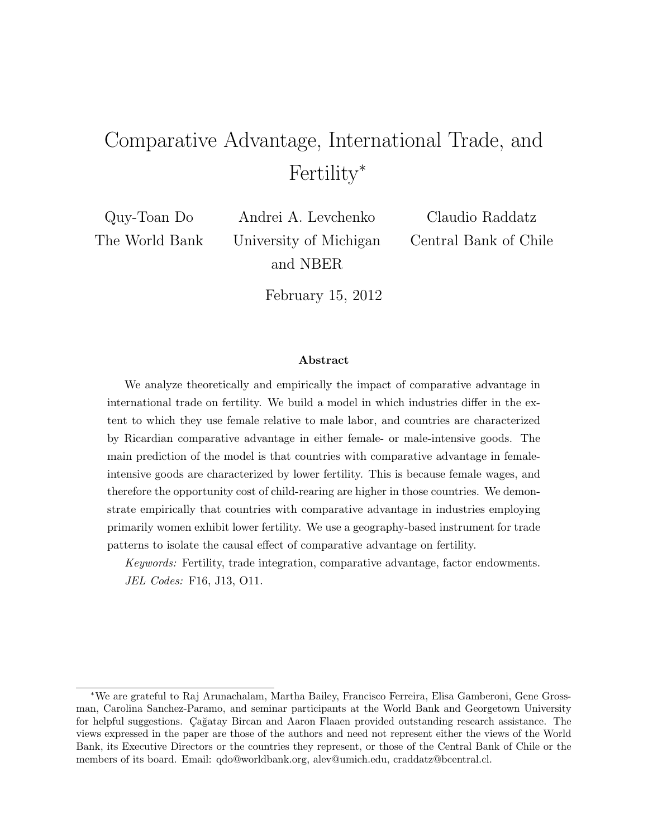# Comparative Advantage, International Trade, and Fertility<sup>∗</sup>

Quy-Toan Do The World Bank

Andrei A. Levchenko University of Michigan and NBER

Claudio Raddatz Central Bank of Chile

February 15, 2012

#### Abstract

We analyze theoretically and empirically the impact of comparative advantage in international trade on fertility. We build a model in which industries differ in the extent to which they use female relative to male labor, and countries are characterized by Ricardian comparative advantage in either female- or male-intensive goods. The main prediction of the model is that countries with comparative advantage in femaleintensive goods are characterized by lower fertility. This is because female wages, and therefore the opportunity cost of child-rearing are higher in those countries. We demonstrate empirically that countries with comparative advantage in industries employing primarily women exhibit lower fertility. We use a geography-based instrument for trade patterns to isolate the causal effect of comparative advantage on fertility.

Keywords: Fertility, trade integration, comparative advantage, factor endowments. JEL Codes: F16, J13, O11.

<sup>∗</sup>We are grateful to Raj Arunachalam, Martha Bailey, Francisco Ferreira, Elisa Gamberoni, Gene Grossman, Carolina Sanchez-Paramo, and seminar participants at the World Bank and Georgetown University for helpful suggestions. Çağatay Bircan and Aaron Flaaen provided outstanding research assistance. The views expressed in the paper are those of the authors and need not represent either the views of the World Bank, its Executive Directors or the countries they represent, or those of the Central Bank of Chile or the members of its board. Email: qdo@worldbank.org, alev@umich.edu, craddatz@bcentral.cl.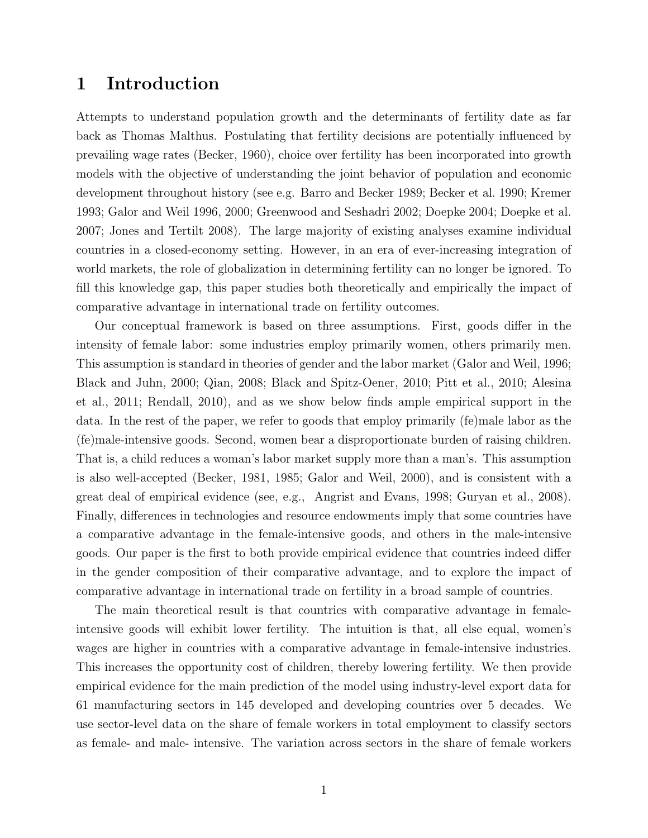### 1 Introduction

Attempts to understand population growth and the determinants of fertility date as far back as Thomas Malthus. Postulating that fertility decisions are potentially influenced by prevailing wage rates (Becker, 1960), choice over fertility has been incorporated into growth models with the objective of understanding the joint behavior of population and economic development throughout history (see e.g. Barro and Becker 1989; Becker et al. 1990; Kremer 1993; Galor and Weil 1996, 2000; Greenwood and Seshadri 2002; Doepke 2004; Doepke et al. 2007; Jones and Tertilt 2008). The large majority of existing analyses examine individual countries in a closed-economy setting. However, in an era of ever-increasing integration of world markets, the role of globalization in determining fertility can no longer be ignored. To fill this knowledge gap, this paper studies both theoretically and empirically the impact of comparative advantage in international trade on fertility outcomes.

Our conceptual framework is based on three assumptions. First, goods differ in the intensity of female labor: some industries employ primarily women, others primarily men. This assumption is standard in theories of gender and the labor market (Galor and Weil, 1996; Black and Juhn, 2000; Qian, 2008; Black and Spitz-Oener, 2010; Pitt et al., 2010; Alesina et al., 2011; Rendall, 2010), and as we show below finds ample empirical support in the data. In the rest of the paper, we refer to goods that employ primarily (fe)male labor as the (fe)male-intensive goods. Second, women bear a disproportionate burden of raising children. That is, a child reduces a woman's labor market supply more than a man's. This assumption is also well-accepted (Becker, 1981, 1985; Galor and Weil, 2000), and is consistent with a great deal of empirical evidence (see, e.g., Angrist and Evans, 1998; Guryan et al., 2008). Finally, differences in technologies and resource endowments imply that some countries have a comparative advantage in the female-intensive goods, and others in the male-intensive goods. Our paper is the first to both provide empirical evidence that countries indeed differ in the gender composition of their comparative advantage, and to explore the impact of comparative advantage in international trade on fertility in a broad sample of countries.

The main theoretical result is that countries with comparative advantage in femaleintensive goods will exhibit lower fertility. The intuition is that, all else equal, women's wages are higher in countries with a comparative advantage in female-intensive industries. This increases the opportunity cost of children, thereby lowering fertility. We then provide empirical evidence for the main prediction of the model using industry-level export data for 61 manufacturing sectors in 145 developed and developing countries over 5 decades. We use sector-level data on the share of female workers in total employment to classify sectors as female- and male- intensive. The variation across sectors in the share of female workers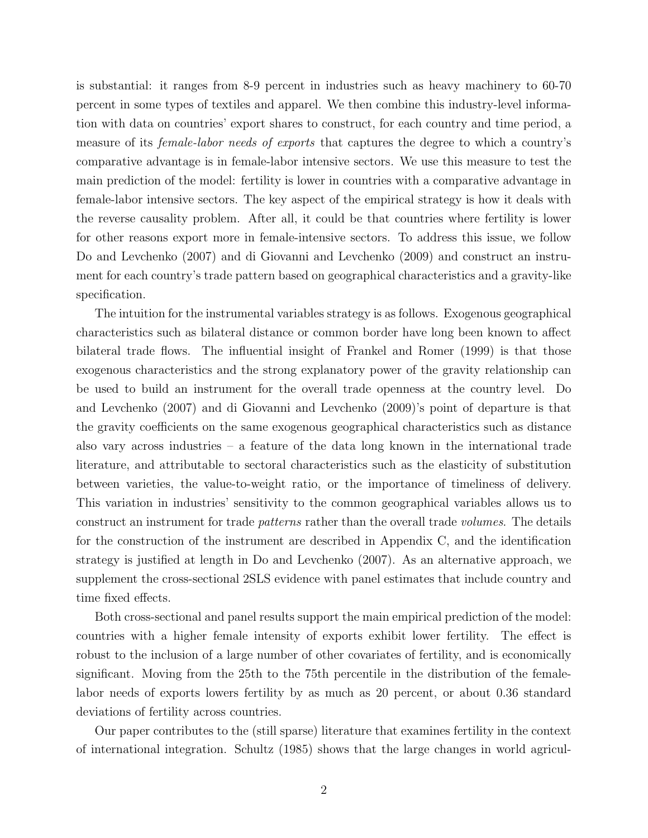is substantial: it ranges from 8-9 percent in industries such as heavy machinery to 60-70 percent in some types of textiles and apparel. We then combine this industry-level information with data on countries' export shares to construct, for each country and time period, a measure of its *female-labor needs of exports* that captures the degree to which a country's comparative advantage is in female-labor intensive sectors. We use this measure to test the main prediction of the model: fertility is lower in countries with a comparative advantage in female-labor intensive sectors. The key aspect of the empirical strategy is how it deals with the reverse causality problem. After all, it could be that countries where fertility is lower for other reasons export more in female-intensive sectors. To address this issue, we follow Do and Levchenko (2007) and di Giovanni and Levchenko (2009) and construct an instrument for each country's trade pattern based on geographical characteristics and a gravity-like specification.

The intuition for the instrumental variables strategy is as follows. Exogenous geographical characteristics such as bilateral distance or common border have long been known to affect bilateral trade flows. The influential insight of Frankel and Romer (1999) is that those exogenous characteristics and the strong explanatory power of the gravity relationship can be used to build an instrument for the overall trade openness at the country level. Do and Levchenko (2007) and di Giovanni and Levchenko (2009)'s point of departure is that the gravity coefficients on the same exogenous geographical characteristics such as distance also vary across industries  $-$  a feature of the data long known in the international trade literature, and attributable to sectoral characteristics such as the elasticity of substitution between varieties, the value-to-weight ratio, or the importance of timeliness of delivery. This variation in industries' sensitivity to the common geographical variables allows us to construct an instrument for trade patterns rather than the overall trade volumes. The details for the construction of the instrument are described in Appendix C, and the identification strategy is justified at length in Do and Levchenko (2007). As an alternative approach, we supplement the cross-sectional 2SLS evidence with panel estimates that include country and time fixed effects.

Both cross-sectional and panel results support the main empirical prediction of the model: countries with a higher female intensity of exports exhibit lower fertility. The effect is robust to the inclusion of a large number of other covariates of fertility, and is economically significant. Moving from the 25th to the 75th percentile in the distribution of the femalelabor needs of exports lowers fertility by as much as 20 percent, or about 0.36 standard deviations of fertility across countries.

Our paper contributes to the (still sparse) literature that examines fertility in the context of international integration. Schultz (1985) shows that the large changes in world agricul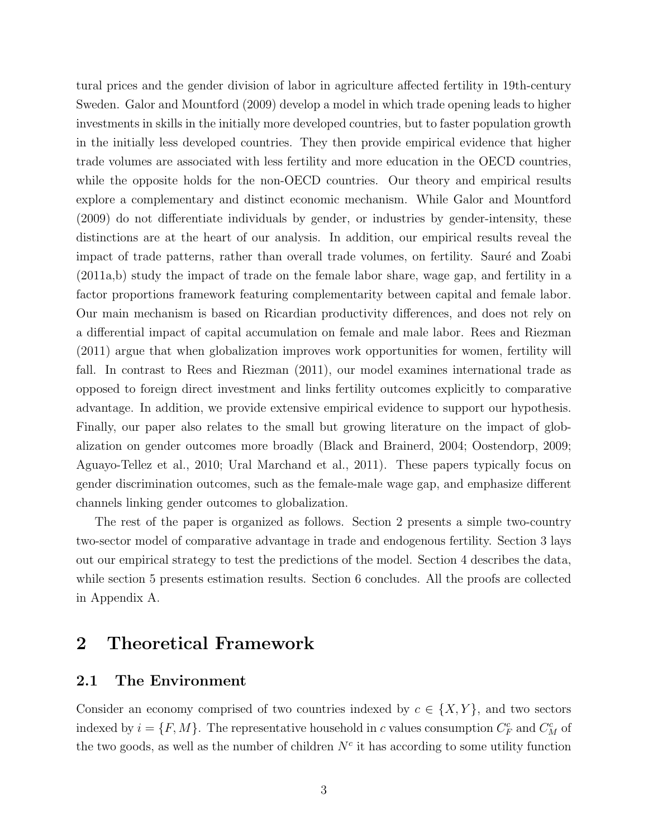tural prices and the gender division of labor in agriculture affected fertility in 19th-century Sweden. Galor and Mountford (2009) develop a model in which trade opening leads to higher investments in skills in the initially more developed countries, but to faster population growth in the initially less developed countries. They then provide empirical evidence that higher trade volumes are associated with less fertility and more education in the OECD countries, while the opposite holds for the non-OECD countries. Our theory and empirical results explore a complementary and distinct economic mechanism. While Galor and Mountford (2009) do not differentiate individuals by gender, or industries by gender-intensity, these distinctions are at the heart of our analysis. In addition, our empirical results reveal the impact of trade patterns, rather than overall trade volumes, on fertility. Sauré and Zoabi (2011a,b) study the impact of trade on the female labor share, wage gap, and fertility in a factor proportions framework featuring complementarity between capital and female labor. Our main mechanism is based on Ricardian productivity differences, and does not rely on a differential impact of capital accumulation on female and male labor. Rees and Riezman (2011) argue that when globalization improves work opportunities for women, fertility will fall. In contrast to Rees and Riezman (2011), our model examines international trade as opposed to foreign direct investment and links fertility outcomes explicitly to comparative advantage. In addition, we provide extensive empirical evidence to support our hypothesis. Finally, our paper also relates to the small but growing literature on the impact of globalization on gender outcomes more broadly (Black and Brainerd, 2004; Oostendorp, 2009; Aguayo-Tellez et al., 2010; Ural Marchand et al., 2011). These papers typically focus on gender discrimination outcomes, such as the female-male wage gap, and emphasize different channels linking gender outcomes to globalization.

The rest of the paper is organized as follows. Section 2 presents a simple two-country two-sector model of comparative advantage in trade and endogenous fertility. Section 3 lays out our empirical strategy to test the predictions of the model. Section 4 describes the data, while section 5 presents estimation results. Section 6 concludes. All the proofs are collected in Appendix A.

## 2 Theoretical Framework

#### 2.1 The Environment

Consider an economy comprised of two countries indexed by  $c \in \{X, Y\}$ , and two sectors indexed by  $i = \{F, M\}$ . The representative household in c values consumption  $C_F^c$  and  $C_M^c$  of the two goods, as well as the number of children  $N<sup>c</sup>$  it has according to some utility function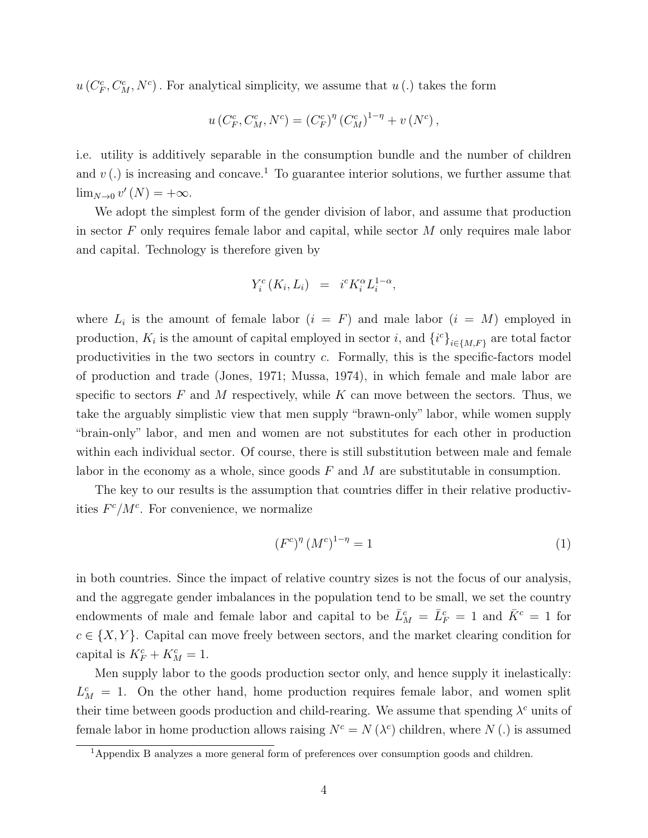$u(C_F^c, C_M^c, N^c)$ . For analytical simplicity, we assume that  $u(.)$  takes the form

$$
u(C_F^c, C_M^c, N^c) = (C_F^c)^{\eta} (C_M^c)^{1-\eta} + v(N^c),
$$

i.e. utility is additively separable in the consumption bundle and the number of children and  $v(.)$  is increasing and concave.<sup>1</sup> To guarantee interior solutions, we further assume that  $\lim_{N\to 0} v'(N) = +\infty.$ 

We adopt the simplest form of the gender division of labor, and assume that production in sector  $F$  only requires female labor and capital, while sector  $M$  only requires male labor and capital. Technology is therefore given by

$$
Y_i^c(K_i, L_i) = i^c K_i^{\alpha} L_i^{1-\alpha},
$$

where  $L_i$  is the amount of female labor  $(i = F)$  and male labor  $(i = M)$  employed in production,  $K_i$  is the amount of capital employed in sector i, and  $\{i^c\}_{i\in\{M,F\}}$  are total factor productivities in the two sectors in country c. Formally, this is the specific-factors model of production and trade (Jones, 1971; Mussa, 1974), in which female and male labor are specific to sectors  $F$  and  $M$  respectively, while  $K$  can move between the sectors. Thus, we take the arguably simplistic view that men supply "brawn-only" labor, while women supply "brain-only" labor, and men and women are not substitutes for each other in production within each individual sector. Of course, there is still substitution between male and female labor in the economy as a whole, since goods  $F$  and  $M$  are substitutable in consumption.

The key to our results is the assumption that countries differ in their relative productivities  $F^c/M^c$ . For convenience, we normalize

$$
(F^c)^{\eta} (M^c)^{1-\eta} = 1 \tag{1}
$$

in both countries. Since the impact of relative country sizes is not the focus of our analysis, and the aggregate gender imbalances in the population tend to be small, we set the country endowments of male and female labor and capital to be  $\bar{L}_M^c = \bar{L}_F^c = 1$  and  $\bar{K}^c = 1$  for  $c \in \{X, Y\}$ . Capital can move freely between sectors, and the market clearing condition for capital is  $K_F^c + K_M^c = 1$ .

Men supply labor to the goods production sector only, and hence supply it inelastically:  $L_M^c = 1$ . On the other hand, home production requires female labor, and women split their time between goods production and child-rearing. We assume that spending  $\lambda^c$  units of female labor in home production allows raising  $N^c = N(\lambda^c)$  children, where  $N(.)$  is assumed

<sup>&</sup>lt;sup>1</sup>Appendix B analyzes a more general form of preferences over consumption goods and children.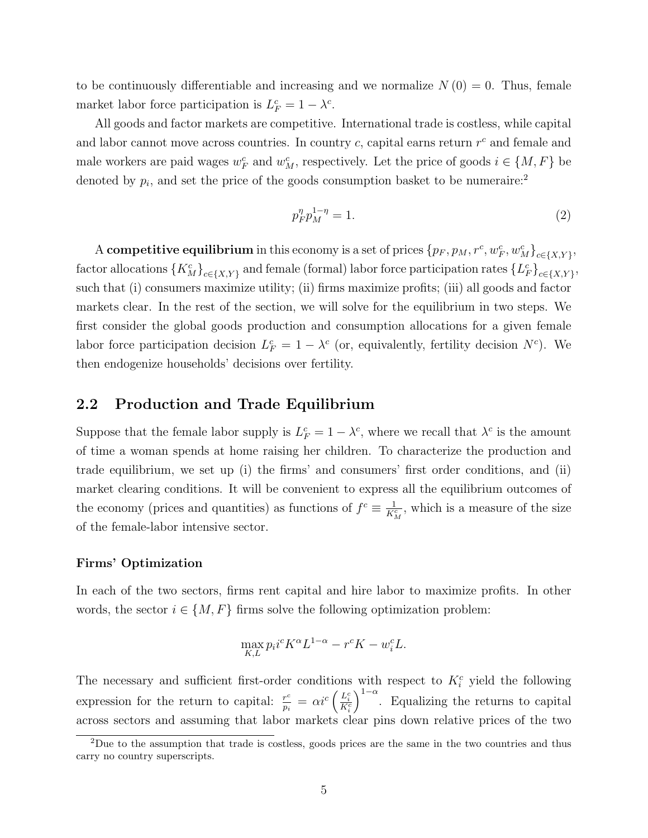to be continuously differentiable and increasing and we normalize  $N(0) = 0$ . Thus, female market labor force participation is  $L_F^c = 1 - \lambda^c$ .

All goods and factor markets are competitive. International trade is costless, while capital and labor cannot move across countries. In country  $c$ , capital earns return  $r^c$  and female and male workers are paid wages  $w_F^c$  and  $w_M^c$ , respectively. Let the price of goods  $i \in \{M, F\}$  be denoted by  $p_i$ , and set the price of the goods consumption basket to be numeraire:<sup>2</sup>

$$
p_F^{\eta} p_M^{1-\eta} = 1.
$$
 (2)

A competitive equilibrium in this economy is a set of prices  ${p_F, p_M, r^c, w_F^c, w_M^c\}_{c \in \{X, Y\}}$ , factor allocations  $\{K_M^c\}_{c \in \{X,Y\}}$  and female (formal) labor force participation rates  $\{L_F^c\}_{c \in \{X,Y\}}$ , such that (i) consumers maximize utility; (ii) firms maximize profits; (iii) all goods and factor markets clear. In the rest of the section, we will solve for the equilibrium in two steps. We first consider the global goods production and consumption allocations for a given female labor force participation decision  $L_F^c = 1 - \lambda^c$  (or, equivalently, fertility decision  $N^c$ ). We then endogenize households' decisions over fertility.

### 2.2 Production and Trade Equilibrium

Suppose that the female labor supply is  $L_F^c = 1 - \lambda^c$ , where we recall that  $\lambda^c$  is the amount of time a woman spends at home raising her children. To characterize the production and trade equilibrium, we set up (i) the firms' and consumers' first order conditions, and (ii) market clearing conditions. It will be convenient to express all the equilibrium outcomes of the economy (prices and quantities) as functions of  $f^c \equiv \frac{1}{K_M^c}$ , which is a measure of the size of the female-labor intensive sector.

#### Firms' Optimization

In each of the two sectors, firms rent capital and hire labor to maximize profits. In other words, the sector  $i \in \{M, F\}$  firms solve the following optimization problem:

$$
\max_{K,L} p_i i^c K^{\alpha} L^{1-\alpha} - r^c K - w_i^c L.
$$

The necessary and sufficient first-order conditions with respect to  $K_i^c$  yield the following expression for the return to capital:  $\frac{r^c}{r}$  $\frac{r^c}{p_i} = \alpha i^c \left( \frac{L^c_i}{K^c_i} \right)$  $\int_{0}^{1-\alpha}$ . Equalizing the returns to capital across sectors and assuming that labor markets clear pins down relative prices of the two

<sup>&</sup>lt;sup>2</sup>Due to the assumption that trade is costless, goods prices are the same in the two countries and thus carry no country superscripts.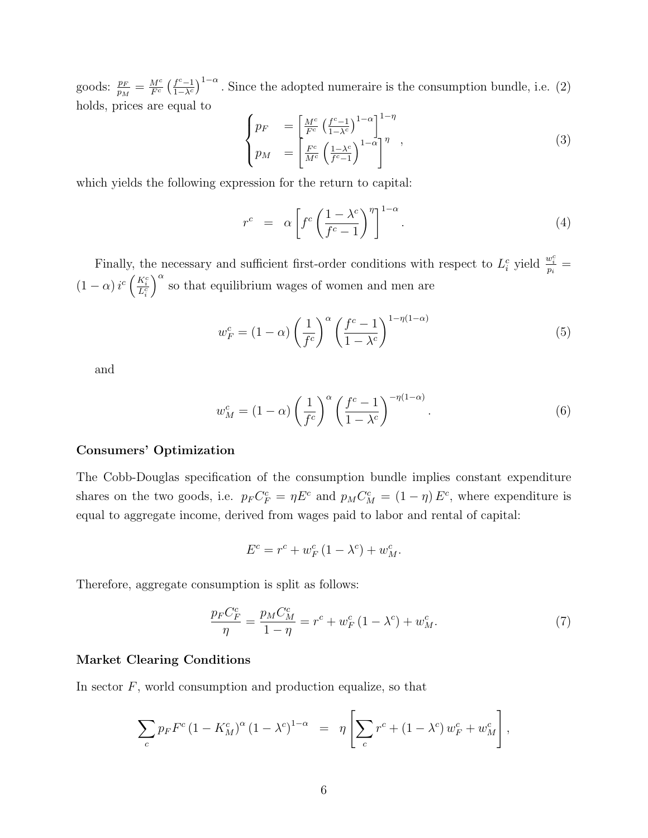goods:  $\frac{p_F}{p_M} = \frac{M^c}{F^c}$  $rac{M^c}{F^c}$   $\left(\frac{f^c-1}{1-\lambda^c}\right)$  $\int_{\frac{1}{\sqrt{c}}}^{c-1}$  (1- $\alpha$ )<sup>1- $\alpha$ </sup>. Since the adopted numeraire is the consumption bundle, i.e. (2) holds, prices are equal to

$$
\begin{cases}\np_F &= \left[\frac{M^c}{F^c} \left(\frac{f^c - 1}{1 - \lambda^c}\right)^{1 - \alpha}\right]^{1 - \eta} \\
p_M &= \left[\frac{F^c}{M^c} \left(\frac{1 - \lambda^c}{f^c - 1}\right)^{1 - \alpha}\right]^\eta\n\end{cases}\n\tag{3}
$$

which yields the following expression for the return to capital:

$$
r^{c} = \alpha \left[ f^{c} \left( \frac{1 - \lambda^{c}}{f^{c} - 1} \right)^{\eta} \right]^{1 - \alpha}.
$$
 (4)

Finally, the necessary and sufficient first-order conditions with respect to  $L_i^c$  yield  $\frac{w_i^c}{p_i}$  =  $(1-\alpha)\,i^c\left(\frac{K_i^c}{L_i^c}\right)$  $a^{\alpha}$  so that equilibrium wages of women and men are

$$
w_F^c = (1 - \alpha) \left(\frac{1}{f^c}\right)^{\alpha} \left(\frac{f^c - 1}{1 - \lambda^c}\right)^{1 - \eta(1 - \alpha)}
$$
(5)

and

$$
w_M^c = (1 - \alpha) \left(\frac{1}{f^c}\right)^{\alpha} \left(\frac{f^c - 1}{1 - \lambda^c}\right)^{-\eta(1 - \alpha)}.
$$
 (6)

#### Consumers' Optimization

The Cobb-Douglas specification of the consumption bundle implies constant expenditure shares on the two goods, i.e.  $p_F C_F^c = \eta E^c$  and  $p_M C_M^c = (1 - \eta) E^c$ , where expenditure is equal to aggregate income, derived from wages paid to labor and rental of capital:

$$
E^{c} = r^{c} + w_{F}^{c} (1 - \lambda^{c}) + w_{M}^{c}.
$$

Therefore, aggregate consumption is split as follows:

$$
\frac{p_F C_F^c}{\eta} = \frac{p_M C_M^c}{1 - \eta} = r^c + w_F^c (1 - \lambda^c) + w_M^c.
$$
 (7)

#### Market Clearing Conditions

In sector  $F$ , world consumption and production equalize, so that

$$
\sum_{c} p_{F} F^{c} (1 - K_{M}^{c})^{\alpha} (1 - \lambda^{c})^{1 - \alpha} = \eta \left[ \sum_{c} r^{c} + (1 - \lambda^{c}) w_{F}^{c} + w_{M}^{c} \right],
$$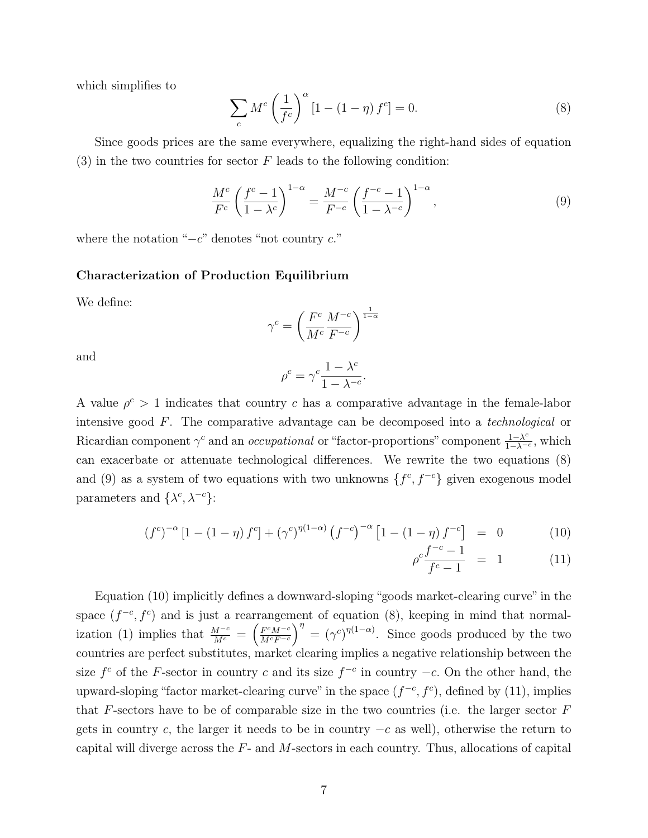which simplifies to

$$
\sum_{c} M^{c} \left(\frac{1}{f^{c}}\right)^{\alpha} \left[1 - \left(1 - \eta\right)f^{c}\right] = 0. \tag{8}
$$

Since goods prices are the same everywhere, equalizing the right-hand sides of equation  $(3)$  in the two countries for sector F leads to the following condition:

$$
\frac{M^c}{F^c} \left(\frac{f^c - 1}{1 - \lambda^c}\right)^{1 - \alpha} = \frac{M^{-c}}{F^{-c}} \left(\frac{f^{-c} - 1}{1 - \lambda^{-c}}\right)^{1 - \alpha},\tag{9}
$$

where the notation " $-c$ " denotes "not country  $c$ ."

#### Characterization of Production Equilibrium

We define:

$$
\gamma^c = \left(\frac{F^c}{M^c} \frac{M^{-c}}{F^{-c}}\right)^{\frac{1}{1-\alpha}}
$$

and

$$
\rho^c=\gamma^c\frac{1-\lambda^c}{1-\lambda^{-c}}.
$$

A value  $\rho^c > 1$  indicates that country c has a comparative advantage in the female-labor intensive good F. The comparative advantage can be decomposed into a technological or Ricardian component  $\gamma^c$  and an *occupational* or "factor-proportions" component  $\frac{1-\lambda^c}{1-\lambda^c}$  $\frac{1-\lambda^c}{1-\lambda^{-c}}$ , which can exacerbate or attenuate technological differences. We rewrite the two equations (8) and (9) as a system of two equations with two unknowns  $\{f^c, f^{-c}\}$  given exogenous model parameters and  $\{\lambda^c, \lambda^{-c}\}$ :

$$
(f^{c})^{-\alpha} [1 - (1 - \eta) f^{c}] + (\gamma^{c})^{\eta(1 - \alpha)} (f^{-c})^{-\alpha} [1 - (1 - \eta) f^{-c}] = 0 \qquad (10)
$$

$$
\rho^c \frac{f^{-c} - 1}{f^c - 1} = 1 \tag{11}
$$

Equation (10) implicitly defines a downward-sloping "goods market-clearing curve" in the space  $(f^{-c}, f^{c})$  and is just a rearrangement of equation (8), keeping in mind that normalization (1) implies that  $\frac{M^{-c}}{M^{c}} = \left(\frac{F^{c}M^{-c}}{M^{c}F^{-c}}\right)$  $\frac{F^{c}M^{-c}}{M^{c}F^{-c}}\bigg)^{\eta} = (\gamma^{c})^{\eta(1-\alpha)}$ . Since goods produced by the two countries are perfect substitutes, market clearing implies a negative relationship between the size  $f^c$  of the F-sector in country c and its size  $f^{-c}$  in country  $-c$ . On the other hand, the upward-sloping "factor market-clearing curve" in the space  $(f^{-c}, f^c)$ , defined by (11), implies that  $F$ -sectors have to be of comparable size in the two countries (i.e. the larger sector  $F$ gets in country c, the larger it needs to be in country  $-c$  as well), otherwise the return to capital will diverge across the F- and M-sectors in each country. Thus, allocations of capital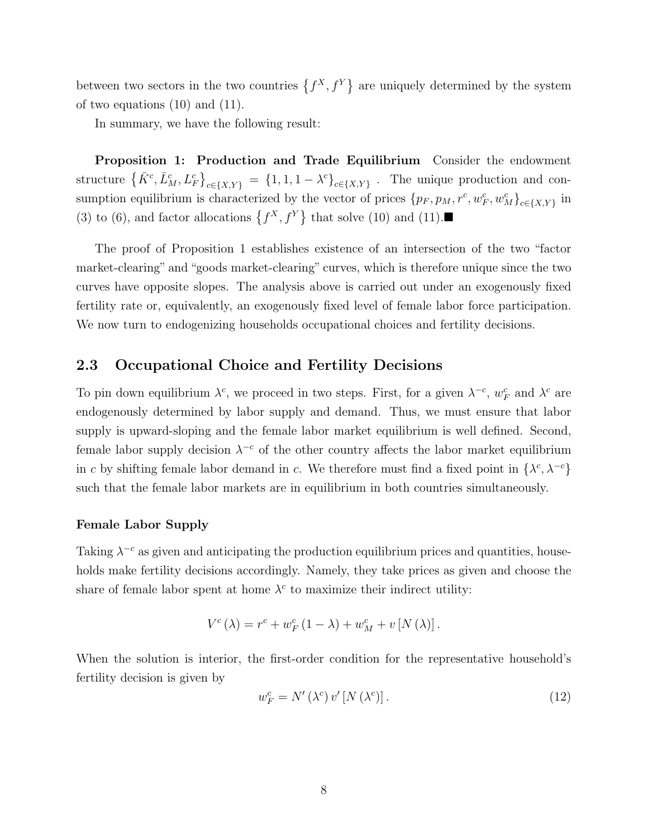between two sectors in the two countries  $\{f^X, f^Y\}$  are uniquely determined by the system of two equations (10) and (11).

In summary, we have the following result:

Proposition 1: Production and Trade Equilibrium Consider the endowment structure  $\{K^c, \bar{L}_M^c, L_F^c\}_{c \in \{X,Y\}} = \{1, 1, 1 - \lambda^c\}_{c \in \{X,Y\}}$ . The unique production and consumption equilibrium is characterized by the vector of prices  $\{p_F, p_M, r^c, w_F^c, w_M^c\}_{c \in \{X, Y\}}$  in (3) to (6), and factor allocations  $\{f^X, f^Y\}$  that solve (10) and (11).

The proof of Proposition 1 establishes existence of an intersection of the two "factor market-clearing" and "goods market-clearing" curves, which is therefore unique since the two curves have opposite slopes. The analysis above is carried out under an exogenously fixed fertility rate or, equivalently, an exogenously fixed level of female labor force participation. We now turn to endogenizing households occupational choices and fertility decisions.

### 2.3 Occupational Choice and Fertility Decisions

To pin down equilibrium  $\lambda^c$ , we proceed in two steps. First, for a given  $\lambda^{-c}$ ,  $w_F^c$  and  $\lambda^c$  are endogenously determined by labor supply and demand. Thus, we must ensure that labor supply is upward-sloping and the female labor market equilibrium is well defined. Second, female labor supply decision  $\lambda^{-c}$  of the other country affects the labor market equilibrium in c by shifting female labor demand in c. We therefore must find a fixed point in  $\{\lambda^c, \lambda^{-c}\}$ such that the female labor markets are in equilibrium in both countries simultaneously.

#### Female Labor Supply

Taking  $\lambda^{-c}$  as given and anticipating the production equilibrium prices and quantities, households make fertility decisions accordingly. Namely, they take prices as given and choose the share of female labor spent at home  $\lambda^c$  to maximize their indirect utility:

$$
V^{c}(\lambda) = r^{c} + w_{F}^{c} (1 - \lambda) + w_{M}^{c} + v [N (\lambda)].
$$

When the solution is interior, the first-order condition for the representative household's fertility decision is given by

$$
w_F^c = N'(\lambda^c) v'[N(\lambda^c)].
$$
\n(12)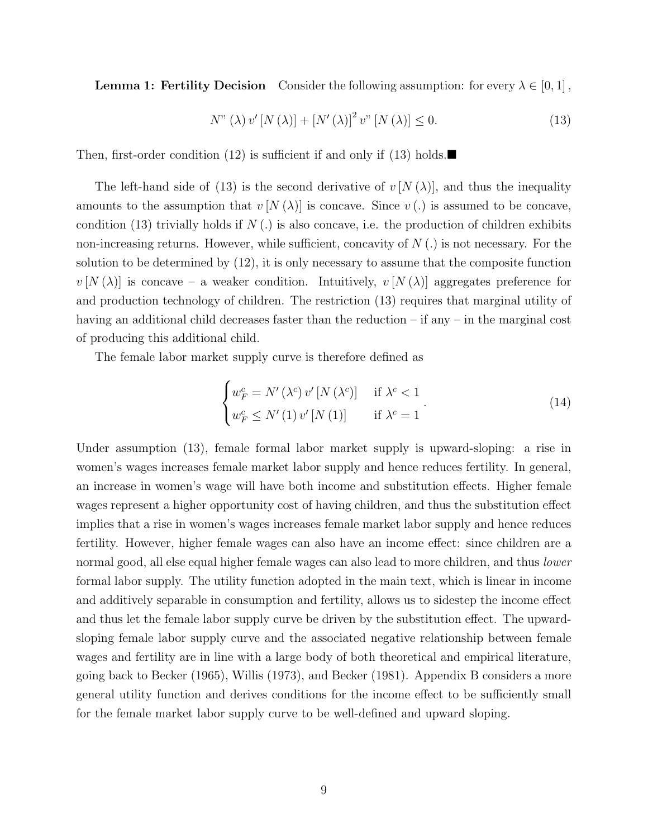**Lemma 1: Fertility Decision** Consider the following assumption: for every  $\lambda \in [0,1]$ ,

$$
N''\left(\lambda\right)v'\left[N\left(\lambda\right)\right]+\left[N'\left(\lambda\right)\right]^2v''\left[N\left(\lambda\right)\right]\leq 0.\tag{13}
$$

Then, first-order condition (12) is sufficient if and only if (13) holds.

The left-hand side of (13) is the second derivative of  $v[N(\lambda)]$ , and thus the inequality amounts to the assumption that  $v[N(\lambda)]$  is concave. Since  $v(.)$  is assumed to be concave, condition (13) trivially holds if  $N(.)$  is also concave, i.e. the production of children exhibits non-increasing returns. However, while sufficient, concavity of  $N(.)$  is not necessary. For the solution to be determined by (12), it is only necessary to assume that the composite function  $v[N(\lambda)]$  is concave – a weaker condition. Intuitively,  $v[N(\lambda)]$  aggregates preference for and production technology of children. The restriction (13) requires that marginal utility of having an additional child decreases faster than the reduction – if any – in the marginal cost of producing this additional child.

The female labor market supply curve is therefore defined as

$$
\begin{cases} w_F^c = N'(\lambda^c) v'[N(\lambda^c)] & \text{if } \lambda^c < 1\\ w_F^c \le N'(1) v'[N(1)] & \text{if } \lambda^c = 1 \end{cases}.
$$
 (14)

Under assumption  $(13)$ , female formal labor market supply is upward-sloping: a rise in women's wages increases female market labor supply and hence reduces fertility. In general, an increase in women's wage will have both income and substitution effects. Higher female wages represent a higher opportunity cost of having children, and thus the substitution effect implies that a rise in women's wages increases female market labor supply and hence reduces fertility. However, higher female wages can also have an income effect: since children are a normal good, all else equal higher female wages can also lead to more children, and thus *lower* formal labor supply. The utility function adopted in the main text, which is linear in income and additively separable in consumption and fertility, allows us to sidestep the income effect and thus let the female labor supply curve be driven by the substitution effect. The upwardsloping female labor supply curve and the associated negative relationship between female wages and fertility are in line with a large body of both theoretical and empirical literature, going back to Becker (1965), Willis (1973), and Becker (1981). Appendix B considers a more general utility function and derives conditions for the income effect to be sufficiently small for the female market labor supply curve to be well-defined and upward sloping.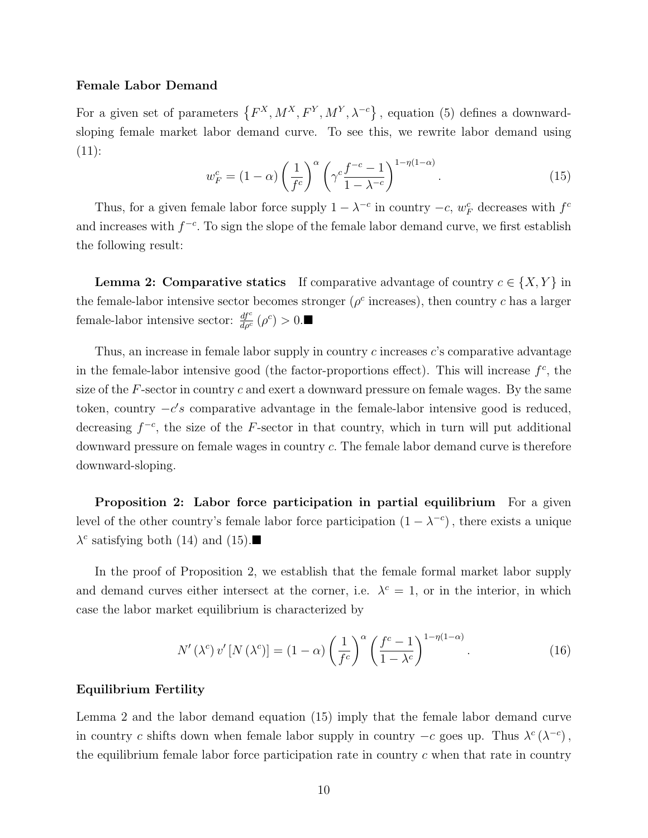#### Female Labor Demand

For a given set of parameters  $\{F^X, M^X, F^Y, M^Y, \lambda^{-c}\}$ , equation (5) defines a downwardsloping female market labor demand curve. To see this, we rewrite labor demand using  $(11):$ 

$$
w_F^c = (1 - \alpha) \left(\frac{1}{f^c}\right)^{\alpha} \left(\gamma^c \frac{f^{-c} - 1}{1 - \lambda^{-c}}\right)^{1 - \eta(1 - \alpha)}.
$$
 (15)

Thus, for a given female labor force supply  $1 - \lambda^{-c}$  in country  $-c$ ,  $w_F^c$  decreases with  $f^c$ and increases with  $f^{-c}$ . To sign the slope of the female labor demand curve, we first establish the following result:

**Lemma 2: Comparative statics** If comparative advantage of country  $c \in \{X, Y\}$  in the female-labor intensive sector becomes stronger ( $\rho^c$  increases), then country c has a larger female-labor intensive sector:  $\frac{df^c}{d\rho^c}(\rho^c) > 0$ .

Thus, an increase in female labor supply in country  $c$  increases  $c$ 's comparative advantage in the female-labor intensive good (the factor-proportions effect). This will increase  $f^c$ , the size of the  $F$ -sector in country  $c$  and exert a downward pressure on female wages. By the same token, country  $-c's$  comparative advantage in the female-labor intensive good is reduced, decreasing  $f^{-c}$ , the size of the F-sector in that country, which in turn will put additional downward pressure on female wages in country c. The female labor demand curve is therefore downward-sloping.

Proposition 2: Labor force participation in partial equilibrium For a given level of the other country's female labor force participation  $(1 - \lambda^{-c})$ , there exists a unique  $\lambda^c$  satisfying both (14) and (15).

In the proof of Proposition 2, we establish that the female formal market labor supply and demand curves either intersect at the corner, i.e.  $\lambda^c = 1$ , or in the interior, in which case the labor market equilibrium is characterized by

$$
N'\left(\lambda^c\right)v'\left[N\left(\lambda^c\right)\right] = \left(1 - \alpha\right)\left(\frac{1}{f^c}\right)^{\alpha} \left(\frac{f^c - 1}{1 - \lambda^c}\right)^{1 - \eta(1 - \alpha)}.\tag{16}
$$

#### Equilibrium Fertility

Lemma 2 and the labor demand equation (15) imply that the female labor demand curve in country c shifts down when female labor supply in country  $-c$  goes up. Thus  $\lambda^c (\lambda^{-c})$ , the equilibrium female labor force participation rate in country  $c$  when that rate in country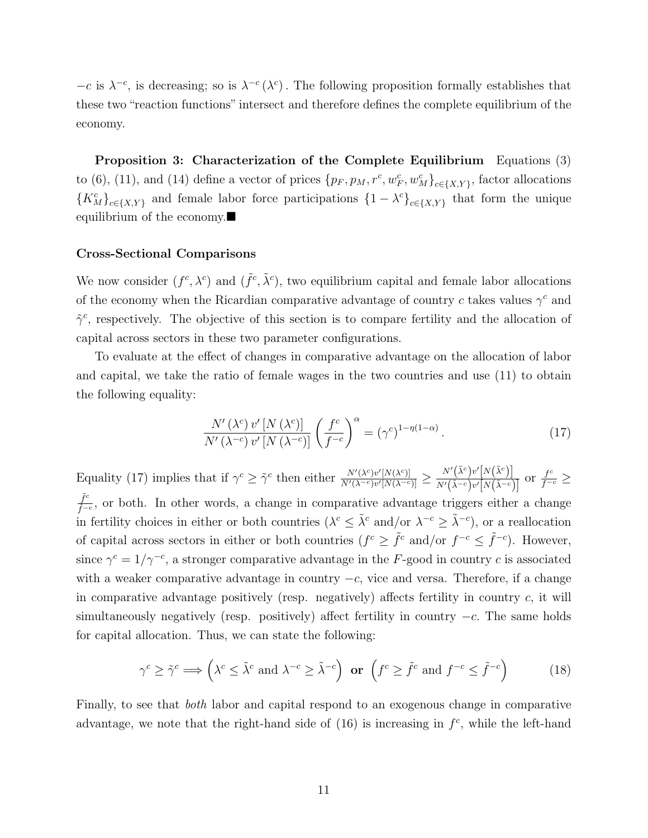$-c$  is  $\lambda^{-c}$ , is decreasing; so is  $\lambda^{-c}(\lambda^c)$ . The following proposition formally establishes that these two "reaction functions" intersect and therefore defines the complete equilibrium of the economy.

Proposition 3: Characterization of the Complete Equilibrium Equations (3) to (6), (11), and (14) define a vector of prices  $\{p_F, p_M, r^c, w_F^c, w_M^c\}_{c \in \{X, Y\}}$ , factor allocations  ${K_M^c}_{c \in \{X,Y\}}$  and female labor force participations  ${1 - \lambda^c}_{c \in \{X,Y\}}$  that form the unique equilibrium of the economy.

#### Cross-Sectional Comparisons

We now consider  $(f^c, \lambda^c)$  and  $(\tilde{f}^c, \tilde{\lambda}^c)$ , two equilibrium capital and female labor allocations of the economy when the Ricardian comparative advantage of country c takes values  $\gamma^c$  and  $\tilde{\gamma}^c$ , respectively. The objective of this section is to compare fertility and the allocation of capital across sectors in these two parameter configurations.

To evaluate at the effect of changes in comparative advantage on the allocation of labor and capital, we take the ratio of female wages in the two countries and use (11) to obtain the following equality:

$$
\frac{N'\left(\lambda^c\right)v'\left[N\left(\lambda^c\right)\right]}{N'\left(\lambda^{-c}\right)v'\left[N\left(\lambda^{-c}\right)\right]}\left(\frac{f^c}{f^{-c}}\right)^\alpha = \left(\gamma^c\right)^{1-\eta(1-\alpha)}.\tag{17}
$$

Equality (17) implies that if  $\gamma^c \geq \tilde{\gamma}^c$  then either  $\frac{N'(\lambda^c)v'[N(\lambda^c)]}{N'(\lambda^c-v)w[N(\lambda^c)]}$  $\frac{N'(\lambda^c) v'[N(\lambda^c)]}{N'(\lambda^{-c}) v'[N(\lambda^{-c})]} \geq \frac{N'\big(\tilde{\lambda}^c\big)v'\big[N\big(\tilde{\lambda}^c\big)\big]}{N'\big(\tilde{\lambda}^{-c}\big) v'[N\big(\tilde{\lambda}^{-c}\big)}$  $\frac{N'(\lambda^c) v'[N(\lambda^c)]}{N'(\tilde{\lambda}^{-c}) v'[N(\tilde{\lambda}^{-c})]}$  or  $\frac{f^c}{f^{-c}} \ge$  $ilde{f}^c$  $\frac{f^c}{\tilde{f}^{-c}}$ , or both. In other words, a change in comparative advantage triggers either a change in fertility choices in either or both countries  $(\lambda^c \leq \tilde{\lambda}^c \text{ and/or } \lambda^{-c} \geq \tilde{\lambda}^{-c})$ , or a reallocation of capital across sectors in either or both countries  $(f^c \geq \tilde{f}^c \text{ and/or } f^{-c} \leq \tilde{f}^{-c})$ . However, since  $\gamma^c = 1/\gamma^{-c}$ , a stronger comparative advantage in the F-good in country c is associated with a weaker comparative advantage in country  $-c$ , vice and versa. Therefore, if a change in comparative advantage positively (resp. negatively) affects fertility in country  $c$ , it will simultaneously negatively (resp. positively) affect fertility in country  $-c$ . The same holds for capital allocation. Thus, we can state the following:

$$
\gamma^{c} \ge \tilde{\gamma}^{c} \Longrightarrow \left(\lambda^{c} \le \tilde{\lambda}^{c} \text{ and } \lambda^{-c} \ge \tilde{\lambda}^{-c}\right) \text{ or } \left(f^{c} \ge \tilde{f}^{c} \text{ and } f^{-c} \le \tilde{f}^{-c}\right) \tag{18}
$$

Finally, to see that both labor and capital respond to an exogenous change in comparative advantage, we note that the right-hand side of  $(16)$  is increasing in  $f<sup>c</sup>$ , while the left-hand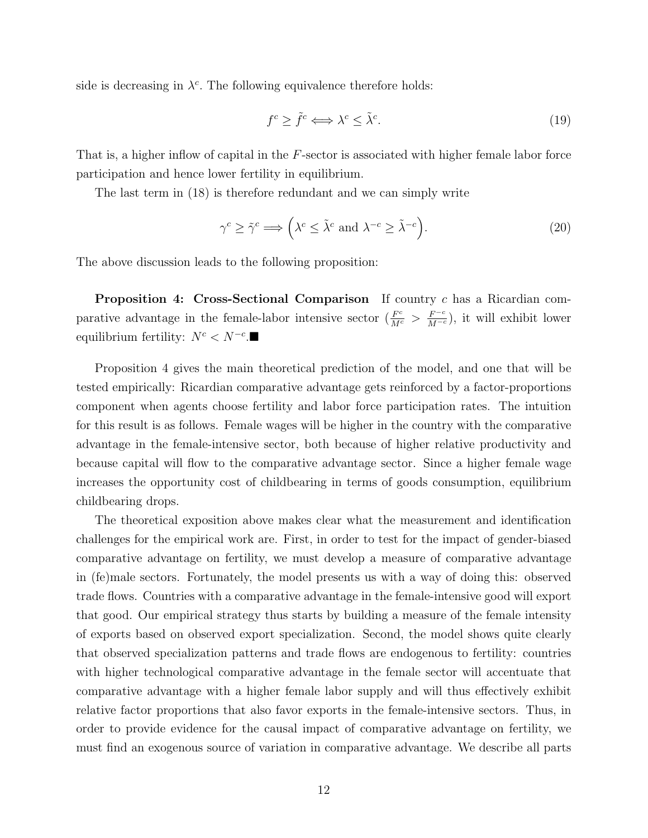side is decreasing in  $\lambda^c$ . The following equivalence therefore holds:

$$
f^c \ge \tilde{f}^c \Longleftrightarrow \lambda^c \le \tilde{\lambda}^c. \tag{19}
$$

That is, a higher inflow of capital in the F-sector is associated with higher female labor force participation and hence lower fertility in equilibrium.

The last term in (18) is therefore redundant and we can simply write

$$
\gamma^{c} \ge \tilde{\gamma}^{c} \Longrightarrow \left(\lambda^{c} \le \tilde{\lambda}^{c} \text{ and } \lambda^{-c} \ge \tilde{\lambda}^{-c}\right).
$$
\n(20)

The above discussion leads to the following proposition:

**Proposition 4: Cross-Sectional Comparison** If country c has a Ricardian comparative advantage in the female-labor intensive sector  $(\frac{F^c}{M^c} > \frac{F^{-c}}{M^{-c}})$ , it will exhibit lower equilibrium fertility:  $N^c < N^{-c}$ .

Proposition 4 gives the main theoretical prediction of the model, and one that will be tested empirically: Ricardian comparative advantage gets reinforced by a factor-proportions component when agents choose fertility and labor force participation rates. The intuition for this result is as follows. Female wages will be higher in the country with the comparative advantage in the female-intensive sector, both because of higher relative productivity and because capital will flow to the comparative advantage sector. Since a higher female wage increases the opportunity cost of childbearing in terms of goods consumption, equilibrium childbearing drops.

The theoretical exposition above makes clear what the measurement and identification challenges for the empirical work are. First, in order to test for the impact of gender-biased comparative advantage on fertility, we must develop a measure of comparative advantage in (fe)male sectors. Fortunately, the model presents us with a way of doing this: observed trade flows. Countries with a comparative advantage in the female-intensive good will export that good. Our empirical strategy thus starts by building a measure of the female intensity of exports based on observed export specialization. Second, the model shows quite clearly that observed specialization patterns and trade flows are endogenous to fertility: countries with higher technological comparative advantage in the female sector will accentuate that comparative advantage with a higher female labor supply and will thus effectively exhibit relative factor proportions that also favor exports in the female-intensive sectors. Thus, in order to provide evidence for the causal impact of comparative advantage on fertility, we must find an exogenous source of variation in comparative advantage. We describe all parts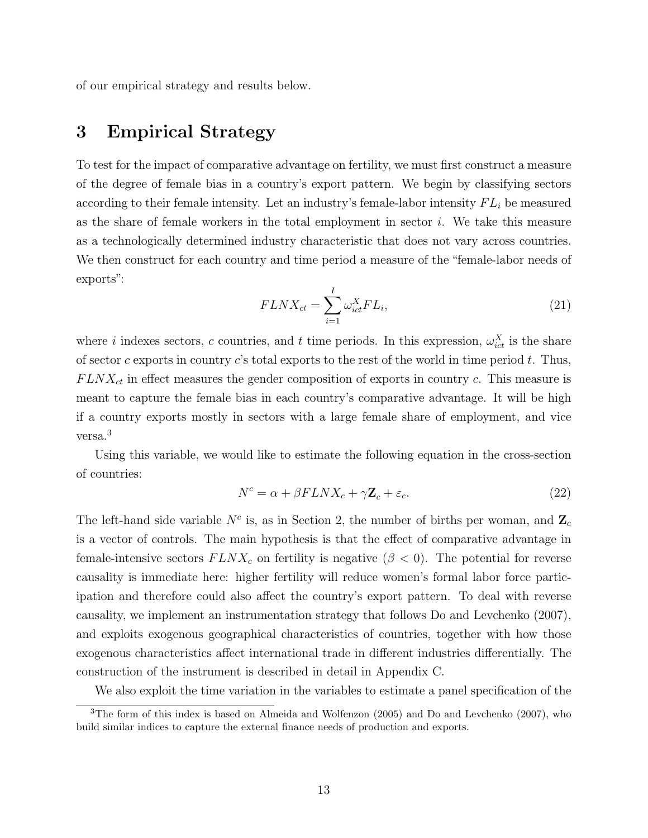of our empirical strategy and results below.

### 3 Empirical Strategy

To test for the impact of comparative advantage on fertility, we must first construct a measure of the degree of female bias in a country's export pattern. We begin by classifying sectors according to their female intensity. Let an industry's female-labor intensity  $FL_i$  be measured as the share of female workers in the total employment in sector  $i$ . We take this measure as a technologically determined industry characteristic that does not vary across countries. We then construct for each country and time period a measure of the "female-labor needs of exports":

$$
FLNX_{ct} = \sum_{i=1}^{I} \omega_{ict}^{X} FL_i,
$$
\n(21)

where *i* indexes sectors, c countries, and t time periods. In this expression,  $\omega_{ict}^X$  is the share of sector c exports in country c's total exports to the rest of the world in time period  $t$ . Thus,  $FLNX<sub>ct</sub>$  in effect measures the gender composition of exports in country c. This measure is meant to capture the female bias in each country's comparative advantage. It will be high if a country exports mostly in sectors with a large female share of employment, and vice versa.<sup>3</sup>

Using this variable, we would like to estimate the following equation in the cross-section of countries:

$$
N^{c} = \alpha + \beta FLNX_{c} + \gamma \mathbf{Z}_{c} + \varepsilon_{c}.
$$
\n(22)

The left-hand side variable  $N^c$  is, as in Section 2, the number of births per woman, and  $\mathbb{Z}_c$ is a vector of controls. The main hypothesis is that the effect of comparative advantage in female-intensive sectors  $FLNX_c$  on fertility is negative ( $\beta < 0$ ). The potential for reverse causality is immediate here: higher fertility will reduce women's formal labor force participation and therefore could also affect the country's export pattern. To deal with reverse causality, we implement an instrumentation strategy that follows Do and Levchenko (2007), and exploits exogenous geographical characteristics of countries, together with how those exogenous characteristics affect international trade in different industries differentially. The construction of the instrument is described in detail in Appendix C.

We also exploit the time variation in the variables to estimate a panel specification of the

<sup>3</sup>The form of this index is based on Almeida and Wolfenzon (2005) and Do and Levchenko (2007), who build similar indices to capture the external finance needs of production and exports.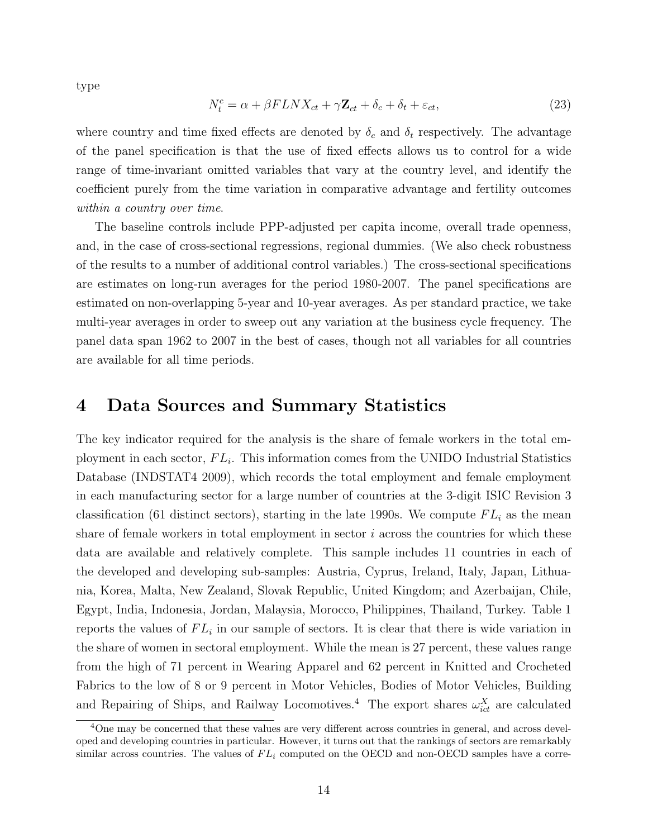type

$$
N_t^c = \alpha + \beta FLNX_{ct} + \gamma \mathbf{Z}_{ct} + \delta_c + \delta_t + \varepsilon_{ct},\tag{23}
$$

where country and time fixed effects are denoted by  $\delta_c$  and  $\delta_t$  respectively. The advantage of the panel specification is that the use of fixed effects allows us to control for a wide range of time-invariant omitted variables that vary at the country level, and identify the coefficient purely from the time variation in comparative advantage and fertility outcomes within a country over time.

The baseline controls include PPP-adjusted per capita income, overall trade openness, and, in the case of cross-sectional regressions, regional dummies. (We also check robustness of the results to a number of additional control variables.) The cross-sectional specifications are estimates on long-run averages for the period 1980-2007. The panel specifications are estimated on non-overlapping 5-year and 10-year averages. As per standard practice, we take multi-year averages in order to sweep out any variation at the business cycle frequency. The panel data span 1962 to 2007 in the best of cases, though not all variables for all countries are available for all time periods.

### 4 Data Sources and Summary Statistics

The key indicator required for the analysis is the share of female workers in the total employment in each sector,  $FL_i$ . This information comes from the UNIDO Industrial Statistics Database (INDSTAT4 2009), which records the total employment and female employment in each manufacturing sector for a large number of countries at the 3-digit ISIC Revision 3 classification (61 distinct sectors), starting in the late 1990s. We compute  $FL_i$  as the mean share of female workers in total employment in sector  $i$  across the countries for which these data are available and relatively complete. This sample includes 11 countries in each of the developed and developing sub-samples: Austria, Cyprus, Ireland, Italy, Japan, Lithuania, Korea, Malta, New Zealand, Slovak Republic, United Kingdom; and Azerbaijan, Chile, Egypt, India, Indonesia, Jordan, Malaysia, Morocco, Philippines, Thailand, Turkey. Table 1 reports the values of  $FL_i$  in our sample of sectors. It is clear that there is wide variation in the share of women in sectoral employment. While the mean is 27 percent, these values range from the high of 71 percent in Wearing Apparel and 62 percent in Knitted and Crocheted Fabrics to the low of 8 or 9 percent in Motor Vehicles, Bodies of Motor Vehicles, Building and Repairing of Ships, and Railway Locomotives.<sup>4</sup> The export shares  $\omega_{ict}^X$  are calculated

<sup>&</sup>lt;sup>4</sup>One may be concerned that these values are very different across countries in general, and across developed and developing countries in particular. However, it turns out that the rankings of sectors are remarkably similar across countries. The values of  $FL_i$  computed on the OECD and non-OECD samples have a corre-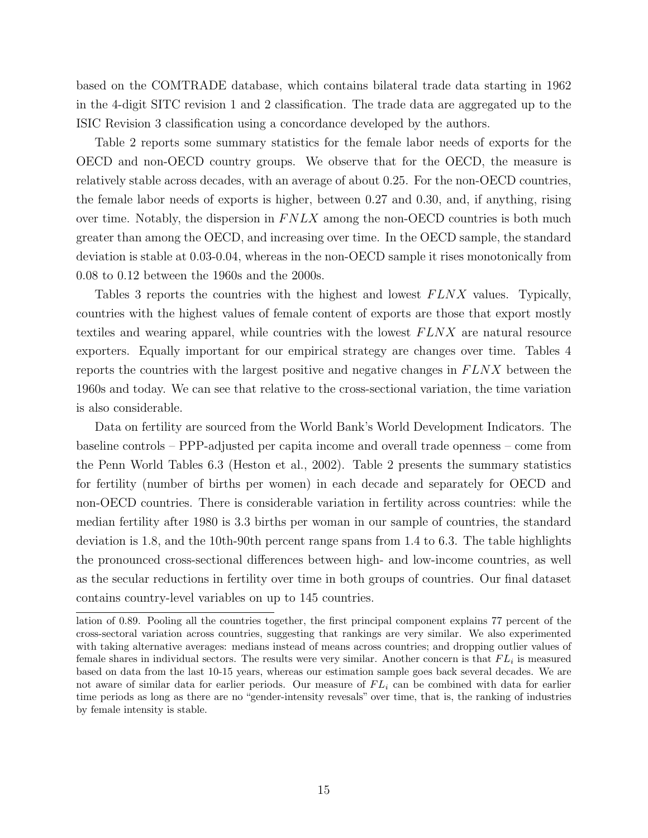based on the COMTRADE database, which contains bilateral trade data starting in 1962 in the 4-digit SITC revision 1 and 2 classification. The trade data are aggregated up to the ISIC Revision 3 classification using a concordance developed by the authors.

Table 2 reports some summary statistics for the female labor needs of exports for the OECD and non-OECD country groups. We observe that for the OECD, the measure is relatively stable across decades, with an average of about 0.25. For the non-OECD countries, the female labor needs of exports is higher, between 0.27 and 0.30, and, if anything, rising over time. Notably, the dispersion in  $F N L X$  among the non-OECD countries is both much greater than among the OECD, and increasing over time. In the OECD sample, the standard deviation is stable at 0.03-0.04, whereas in the non-OECD sample it rises monotonically from 0.08 to 0.12 between the 1960s and the 2000s.

Tables 3 reports the countries with the highest and lowest FLNX values. Typically, countries with the highest values of female content of exports are those that export mostly textiles and wearing apparel, while countries with the lowest  $FLNX$  are natural resource exporters. Equally important for our empirical strategy are changes over time. Tables 4 reports the countries with the largest positive and negative changes in  $FLNX$  between the 1960s and today. We can see that relative to the cross-sectional variation, the time variation is also considerable.

Data on fertility are sourced from the World Bank's World Development Indicators. The baseline controls – PPP-adjusted per capita income and overall trade openness – come from the Penn World Tables 6.3 (Heston et al., 2002). Table 2 presents the summary statistics for fertility (number of births per women) in each decade and separately for OECD and non-OECD countries. There is considerable variation in fertility across countries: while the median fertility after 1980 is 3.3 births per woman in our sample of countries, the standard deviation is 1.8, and the 10th-90th percent range spans from 1.4 to 6.3. The table highlights the pronounced cross-sectional differences between high- and low-income countries, as well as the secular reductions in fertility over time in both groups of countries. Our final dataset contains country-level variables on up to 145 countries.

lation of 0.89. Pooling all the countries together, the first principal component explains 77 percent of the cross-sectoral variation across countries, suggesting that rankings are very similar. We also experimented with taking alternative averages: medians instead of means across countries; and dropping outlier values of female shares in individual sectors. The results were very similar. Another concern is that  $FL_i$  is measured based on data from the last 10-15 years, whereas our estimation sample goes back several decades. We are not aware of similar data for earlier periods. Our measure of  $FL_i$  can be combined with data for earlier time periods as long as there are no "gender-intensity revesals" over time, that is, the ranking of industries by female intensity is stable.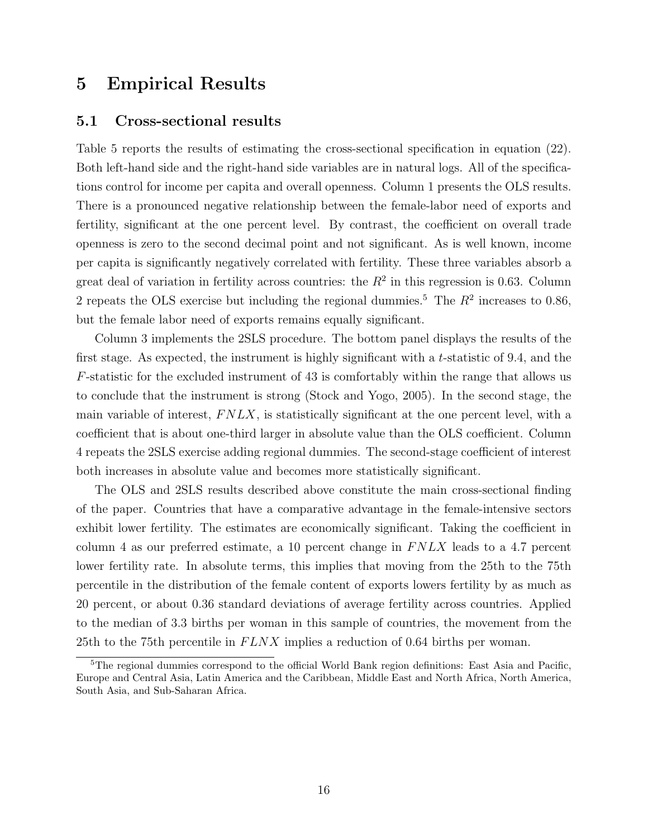### 5 Empirical Results

#### 5.1 Cross-sectional results

Table 5 reports the results of estimating the cross-sectional specification in equation (22). Both left-hand side and the right-hand side variables are in natural logs. All of the specifications control for income per capita and overall openness. Column 1 presents the OLS results. There is a pronounced negative relationship between the female-labor need of exports and fertility, significant at the one percent level. By contrast, the coefficient on overall trade openness is zero to the second decimal point and not significant. As is well known, income per capita is significantly negatively correlated with fertility. These three variables absorb a great deal of variation in fertility across countries: the  $R^2$  in this regression is 0.63. Column 2 repeats the OLS exercise but including the regional dummies.<sup>5</sup> The  $R^2$  increases to 0.86, but the female labor need of exports remains equally significant.

Column 3 implements the 2SLS procedure. The bottom panel displays the results of the first stage. As expected, the instrument is highly significant with a t-statistic of 9.4, and the F-statistic for the excluded instrument of 43 is comfortably within the range that allows us to conclude that the instrument is strong (Stock and Yogo, 2005). In the second stage, the main variable of interest,  $F N L X$ , is statistically significant at the one percent level, with a coefficient that is about one-third larger in absolute value than the OLS coefficient. Column 4 repeats the 2SLS exercise adding regional dummies. The second-stage coefficient of interest both increases in absolute value and becomes more statistically significant.

The OLS and 2SLS results described above constitute the main cross-sectional finding of the paper. Countries that have a comparative advantage in the female-intensive sectors exhibit lower fertility. The estimates are economically significant. Taking the coefficient in column 4 as our preferred estimate, a 10 percent change in  $FNLX$  leads to a 4.7 percent lower fertility rate. In absolute terms, this implies that moving from the 25th to the 75th percentile in the distribution of the female content of exports lowers fertility by as much as 20 percent, or about 0.36 standard deviations of average fertility across countries. Applied to the median of 3.3 births per woman in this sample of countries, the movement from the 25th to the 75th percentile in  $FLNX$  implies a reduction of 0.64 births per woman.

<sup>&</sup>lt;sup>5</sup>The regional dummies correspond to the official World Bank region definitions: East Asia and Pacific, Europe and Central Asia, Latin America and the Caribbean, Middle East and North Africa, North America, South Asia, and Sub-Saharan Africa.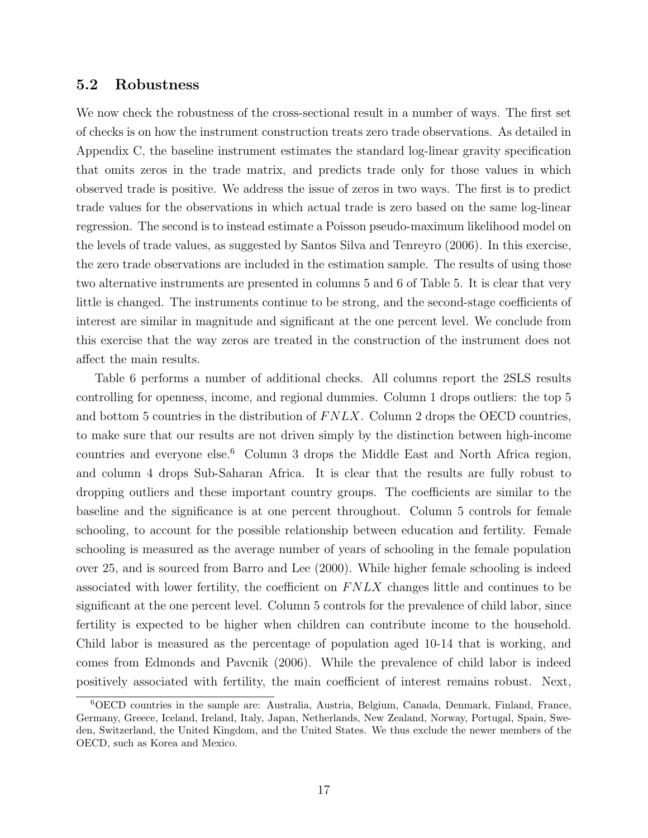#### 5.2 Robustness

We now check the robustness of the cross-sectional result in a number of ways. The first set of checks is on how the instrument construction treats zero trade observations. As detailed in Appendix C, the baseline instrument estimates the standard log-linear gravity specification that omits zeros in the trade matrix, and predicts trade only for those values in which observed trade is positive. We address the issue of zeros in two ways. The first is to predict trade values for the observations in which actual trade is zero based on the same log-linear regression. The second is to instead estimate a Poisson pseudo-maximum likelihood model on the levels of trade values, as suggested by Santos Silva and Tenreyro (2006). In this exercise, the zero trade observations are included in the estimation sample. The results of using those two alternative instruments are presented in columns 5 and 6 of Table 5. It is clear that very little is changed. The instruments continue to be strong, and the second-stage coefficients of interest are similar in magnitude and significant at the one percent level. We conclude from this exercise that the way zeros are treated in the construction of the instrument does not affect the main results.

Table 6 performs a number of additional checks. All columns report the 2SLS results controlling for openness, income, and regional dummies. Column 1 drops outliers: the top 5 and bottom 5 countries in the distribution of  $FNLX$ . Column 2 drops the OECD countries, to make sure that our results are not driven simply by the distinction between high-income countries and everyone else.<sup>6</sup> Column 3 drops the Middle East and North Africa region, and column 4 drops Sub-Saharan Africa. It is clear that the results are fully robust to dropping outliers and these important country groups. The coefficients are similar to the baseline and the significance is at one percent throughout. Column 5 controls for female schooling, to account for the possible relationship between education and fertility. Female schooling is measured as the average number of years of schooling in the female population over 25, and is sourced from Barro and Lee (2000). While higher female schooling is indeed associated with lower fertility, the coefficient on  $FNLX$  changes little and continues to be significant at the one percent level. Column 5 controls for the prevalence of child labor, since fertility is expected to be higher when children can contribute income to the household. Child labor is measured as the percentage of population aged 10-14 that is working, and comes from Edmonds and Pavcnik (2006). While the prevalence of child labor is indeed positively associated with fertility, the main coefficient of interest remains robust. Next,

<sup>6</sup>OECD countries in the sample are: Australia, Austria, Belgium, Canada, Denmark, Finland, France, Germany, Greece, Iceland, Ireland, Italy, Japan, Netherlands, New Zealand, Norway, Portugal, Spain, Sweden, Switzerland, the United Kingdom, and the United States. We thus exclude the newer members of the OECD, such as Korea and Mexico.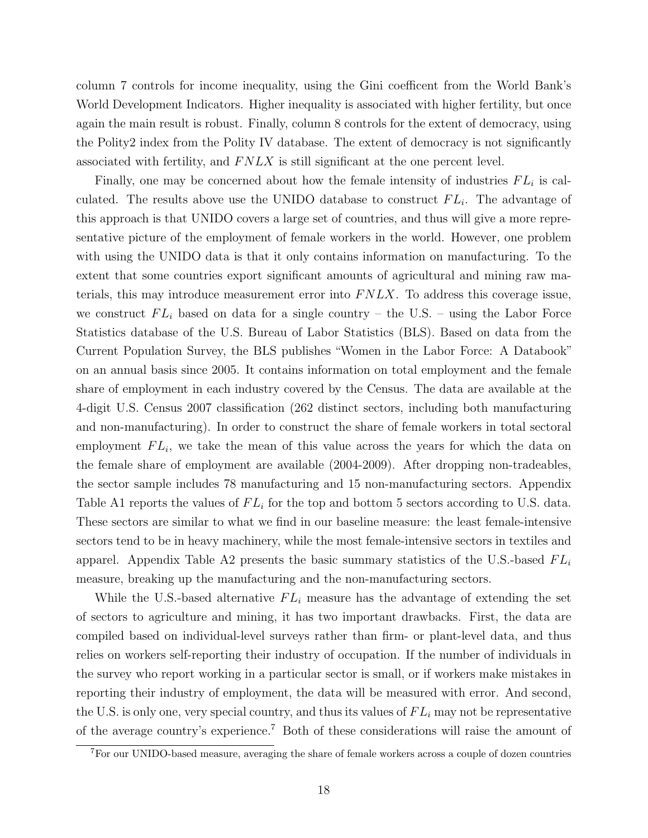column 7 controls for income inequality, using the Gini coefficent from the World Bank's World Development Indicators. Higher inequality is associated with higher fertility, but once again the main result is robust. Finally, column 8 controls for the extent of democracy, using the Polity2 index from the Polity IV database. The extent of democracy is not significantly associated with fertility, and  $F N L X$  is still significant at the one percent level.

Finally, one may be concerned about how the female intensity of industries  $FL_i$  is calculated. The results above use the UNIDO database to construct  $FL_i$ . The advantage of this approach is that UNIDO covers a large set of countries, and thus will give a more representative picture of the employment of female workers in the world. However, one problem with using the UNIDO data is that it only contains information on manufacturing. To the extent that some countries export significant amounts of agricultural and mining raw materials, this may introduce measurement error into  $FNLX$ . To address this coverage issue, we construct  $FL_i$  based on data for a single country – the U.S. – using the Labor Force Statistics database of the U.S. Bureau of Labor Statistics (BLS). Based on data from the Current Population Survey, the BLS publishes "Women in the Labor Force: A Databook" on an annual basis since 2005. It contains information on total employment and the female share of employment in each industry covered by the Census. The data are available at the 4-digit U.S. Census 2007 classification (262 distinct sectors, including both manufacturing and non-manufacturing). In order to construct the share of female workers in total sectoral employment  $FL_i$ , we take the mean of this value across the years for which the data on the female share of employment are available (2004-2009). After dropping non-tradeables, the sector sample includes 78 manufacturing and 15 non-manufacturing sectors. Appendix Table A1 reports the values of  $FL_i$  for the top and bottom 5 sectors according to U.S. data. These sectors are similar to what we find in our baseline measure: the least female-intensive sectors tend to be in heavy machinery, while the most female-intensive sectors in textiles and apparel. Appendix Table A2 presents the basic summary statistics of the U.S.-based  $FL_i$ measure, breaking up the manufacturing and the non-manufacturing sectors.

While the U.S.-based alternative  $FL_i$  measure has the advantage of extending the set of sectors to agriculture and mining, it has two important drawbacks. First, the data are compiled based on individual-level surveys rather than firm- or plant-level data, and thus relies on workers self-reporting their industry of occupation. If the number of individuals in the survey who report working in a particular sector is small, or if workers make mistakes in reporting their industry of employment, the data will be measured with error. And second, the U.S. is only one, very special country, and thus its values of  $FL_i$  may not be representative of the average country's experience.<sup>7</sup> Both of these considerations will raise the amount of

<sup>7</sup>For our UNIDO-based measure, averaging the share of female workers across a couple of dozen countries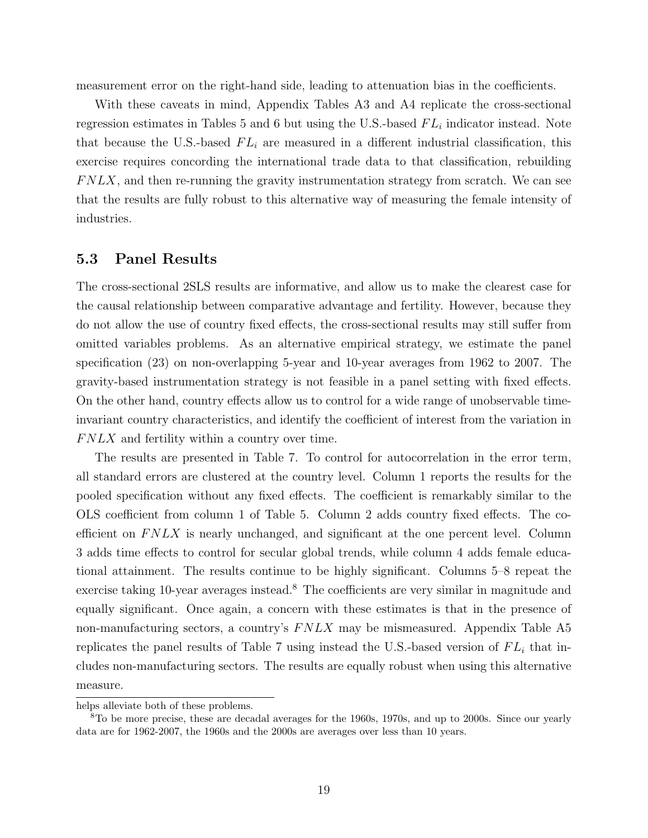measurement error on the right-hand side, leading to attenuation bias in the coefficients.

With these caveats in mind, Appendix Tables A3 and A4 replicate the cross-sectional regression estimates in Tables 5 and 6 but using the U.S.-based  $FL_i$  indicator instead. Note that because the U.S.-based  $FL_i$  are measured in a different industrial classification, this exercise requires concording the international trade data to that classification, rebuilding  $F N L X$ , and then re-running the gravity instrumentation strategy from scratch. We can see that the results are fully robust to this alternative way of measuring the female intensity of industries.

#### 5.3 Panel Results

The cross-sectional 2SLS results are informative, and allow us to make the clearest case for the causal relationship between comparative advantage and fertility. However, because they do not allow the use of country fixed effects, the cross-sectional results may still suffer from omitted variables problems. As an alternative empirical strategy, we estimate the panel specification (23) on non-overlapping 5-year and 10-year averages from 1962 to 2007. The gravity-based instrumentation strategy is not feasible in a panel setting with fixed effects. On the other hand, country effects allow us to control for a wide range of unobservable timeinvariant country characteristics, and identify the coefficient of interest from the variation in  $F N L X$  and fertility within a country over time.

The results are presented in Table 7. To control for autocorrelation in the error term, all standard errors are clustered at the country level. Column 1 reports the results for the pooled specification without any fixed effects. The coefficient is remarkably similar to the OLS coefficient from column 1 of Table 5. Column 2 adds country fixed effects. The coefficient on  $FNLX$  is nearly unchanged, and significant at the one percent level. Column 3 adds time effects to control for secular global trends, while column 4 adds female educational attainment. The results continue to be highly significant. Columns 5–8 repeat the exercise taking 10-year averages instead.<sup>8</sup> The coefficients are very similar in magnitude and equally significant. Once again, a concern with these estimates is that in the presence of non-manufacturing sectors, a country's  $F N L X$  may be mismeasured. Appendix Table A5 replicates the panel results of Table 7 using instead the U.S.-based version of  $FL_i$  that includes non-manufacturing sectors. The results are equally robust when using this alternative measure.

helps alleviate both of these problems.

<sup>8</sup>To be more precise, these are decadal averages for the 1960s, 1970s, and up to 2000s. Since our yearly data are for 1962-2007, the 1960s and the 2000s are averages over less than 10 years.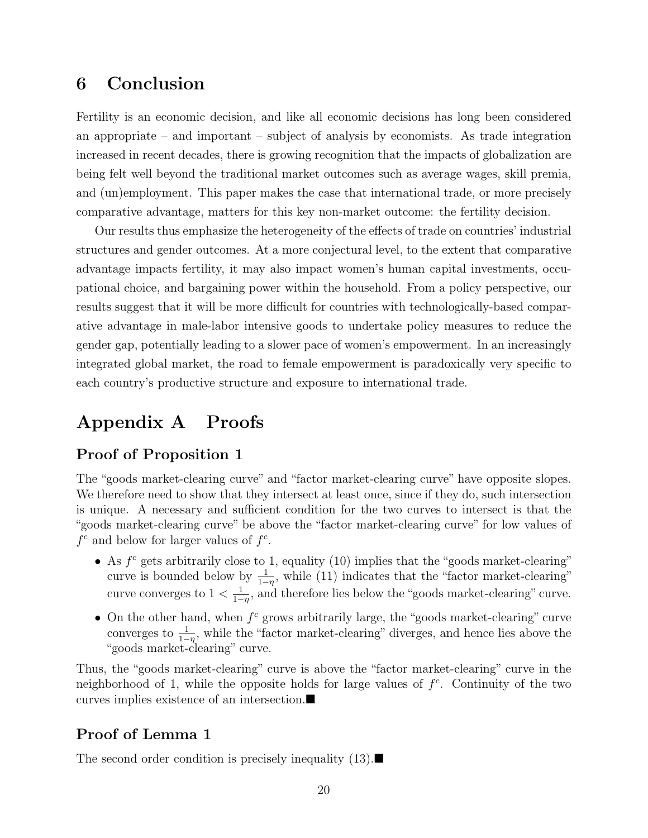### 6 Conclusion

Fertility is an economic decision, and like all economic decisions has long been considered an appropriate – and important – subject of analysis by economists. As trade integration increased in recent decades, there is growing recognition that the impacts of globalization are being felt well beyond the traditional market outcomes such as average wages, skill premia, and (un)employment. This paper makes the case that international trade, or more precisely comparative advantage, matters for this key non-market outcome: the fertility decision.

Our results thus emphasize the heterogeneity of the effects of trade on countries' industrial structures and gender outcomes. At a more conjectural level, to the extent that comparative advantage impacts fertility, it may also impact women's human capital investments, occupational choice, and bargaining power within the household. From a policy perspective, our results suggest that it will be more difficult for countries with technologically-based comparative advantage in male-labor intensive goods to undertake policy measures to reduce the gender gap, potentially leading to a slower pace of women's empowerment. In an increasingly integrated global market, the road to female empowerment is paradoxically very specific to each country's productive structure and exposure to international trade.

## Appendix A Proofs

### Proof of Proposition 1

The "goods market-clearing curve" and "factor market-clearing curve" have opposite slopes. We therefore need to show that they intersect at least once, since if they do, such intersection is unique. A necessary and sufficient condition for the two curves to intersect is that the "goods market-clearing curve" be above the "factor market-clearing curve" for low values of  $f^c$  and below for larger values of  $f^c$ .

- As  $f^c$  gets arbitrarily close to 1, equality (10) implies that the "goods market-clearing" curve is bounded below by  $\frac{1}{1-\eta}$ , while (11) indicates that the "factor market-clearing" curve converges to  $1 < \frac{1}{1}$  $\frac{1}{1-\eta}$ , and therefore lies below the "goods market-clearing" curve.
- On the other hand, when  $f^c$  grows arbitrarily large, the "goods market-clearing" curve converges to  $\frac{1}{1-\eta}$ , while the "factor market-clearing" diverges, and hence lies above the "goods market-clearing" curve.

Thus, the "goods market-clearing" curve is above the "factor market-clearing" curve in the neighborhood of 1, while the opposite holds for large values of  $f^c$ . Continuity of the two curves implies existence of an intersection.

### Proof of Lemma 1

The second order condition is precisely inequality  $(13)$ .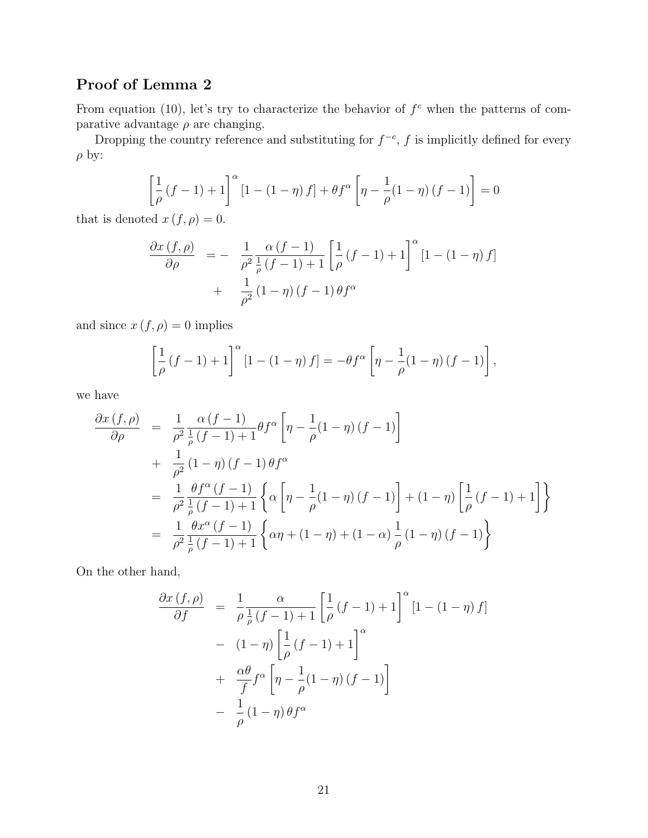## Proof of Lemma 2

From equation (10), let's try to characterize the behavior of  $f<sup>c</sup>$  when the patterns of comparative advantage  $\rho$  are changing.

Dropping the country reference and substituting for  $f^{-c}$ , f is implicitly defined for every  $\rho$  by:

$$
\left[\frac{1}{\rho}(f-1)+1\right]^{\alpha}\left[1-\left(1-\eta\right)f\right]+\theta f^{\alpha}\left[\eta-\frac{1}{\rho}(1-\eta)\left(f-1\right)\right]=0
$$

that is denoted  $x(f, \rho) = 0$ .

$$
\frac{\partial x(f,\rho)}{\partial \rho} = - \frac{1}{\rho^2} \frac{\alpha (f-1)}{\frac{1}{\rho} (f-1) + 1} \left[ \frac{1}{\rho} (f-1) + 1 \right]^\alpha [1 - (1 - \eta) f] \n+ \frac{1}{\rho^2} (1 - \eta) (f-1) \theta f^\alpha
$$

and since  $x(f, \rho) = 0$  implies

$$
\left[\frac{1}{\rho}\left(f-1\right)+1\right]^{\alpha}\left[1-\left(1-\eta\right)f\right] = -\theta f^{\alpha}\left[\eta - \frac{1}{\rho}(1-\eta)\left(f-1\right)\right],
$$

we have

$$
\frac{\partial x \left(f,\rho\right)}{\partial \rho} = \frac{1}{\rho^2} \frac{\alpha \left(f-1\right)}{\frac{1}{\rho} \left(f-1\right) + 1} \theta f^{\alpha} \left[\eta - \frac{1}{\rho} (1-\eta) \left(f-1\right)\right] \n+ \frac{1}{\rho^2} (1-\eta) \left(f-1\right) \theta f^{\alpha} \n= \frac{1}{\rho^2} \frac{\theta f^{\alpha} \left(f-1\right)}{\frac{1}{\rho} \left(f-1\right) + 1} \left\{\alpha \left[\eta - \frac{1}{\rho} (1-\eta) \left(f-1\right)\right] + (1-\eta) \left[\frac{1}{\rho} \left(f-1\right) + 1\right]\right\} \n= \frac{1}{\rho^2} \frac{\theta x^{\alpha} \left(f-1\right)}{\frac{1}{\rho} \left(f-1\right) + 1} \left\{\alpha \eta + (1-\eta) + (1-\alpha) \frac{1}{\rho} (1-\eta) \left(f-1\right)\right\}
$$

On the other hand,

$$
\frac{\partial x(f,\rho)}{\partial f} = \frac{1}{\rho} \frac{\alpha}{\frac{1}{\rho}(f-1)+1} \left[ \frac{1}{\rho}(f-1)+1 \right]^{\alpha} \left[1-(1-\eta)f\right]
$$

$$
- (1-\eta) \left[ \frac{1}{\rho}(f-1)+1 \right]^{\alpha}
$$

$$
+ \frac{\alpha\theta}{f}f^{\alpha} \left[ \eta - \frac{1}{\rho}(1-\eta)(f-1) \right]
$$

$$
- \frac{1}{\rho}(1-\eta)\theta f^{\alpha}
$$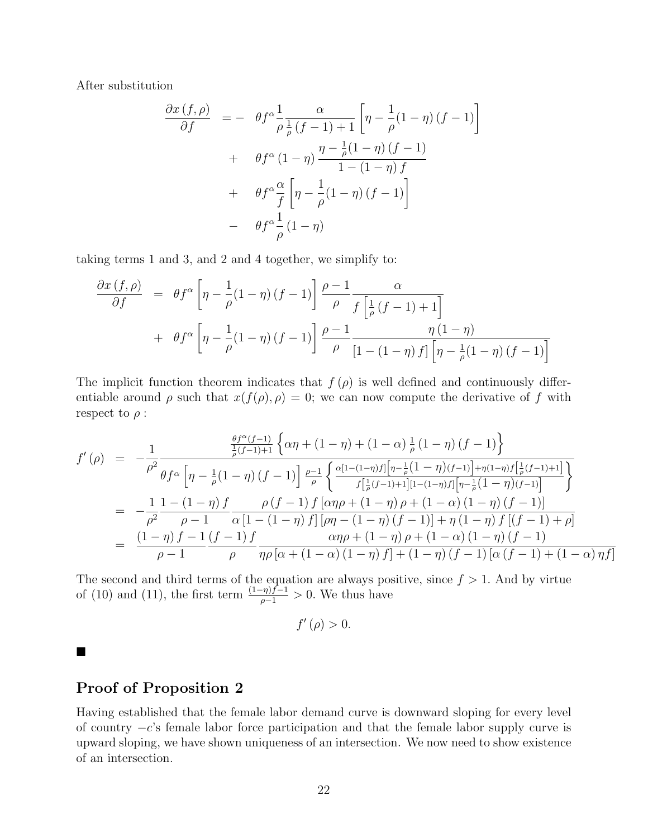After substitution

$$
\frac{\partial x \left(f,\rho\right)}{\partial f} = - \theta f^{\alpha} \frac{1}{\rho} \frac{\alpha}{\frac{1}{\rho} \left(f-1\right) + 1} \left[\eta - \frac{1}{\rho} (1-\eta) \left(f-1\right)\right]
$$

$$
+ \theta f^{\alpha} \left(1-\eta\right) \frac{\eta - \frac{1}{\rho} (1-\eta) \left(f-1\right)}{1 - (1-\eta) f}
$$

$$
+ \theta f^{\alpha} \frac{\alpha}{f} \left[\eta - \frac{1}{\rho} (1-\eta) \left(f-1\right)\right]
$$

$$
- \theta f^{\alpha} \frac{1}{\rho} (1-\eta)
$$

taking terms 1 and 3, and 2 and 4 together, we simplify to:

$$
\frac{\partial x(f,\rho)}{\partial f} = \theta f^{\alpha} \left[ \eta - \frac{1}{\rho} (1-\eta) (f-1) \right] \frac{\rho - 1}{\rho} \frac{\alpha}{f \left[ \frac{1}{\rho} (f-1) + 1 \right]}
$$

$$
+ \theta f^{\alpha} \left[ \eta - \frac{1}{\rho} (1-\eta) (f-1) \right] \frac{\rho - 1}{\rho} \frac{\eta (1-\eta)}{\left[ 1 - (1-\eta) f \right] \left[ \eta - \frac{1}{\rho} (1-\eta) (f-1) \right]}
$$

The implicit function theorem indicates that  $f(\rho)$  is well defined and continuously differentiable around  $\rho$  such that  $x(f(\rho), \rho) = 0$ ; we can now compute the derivative of f with respect to  $\rho$  :

$$
f'(\rho) = -\frac{1}{\rho^2} \frac{\frac{\theta f^{\alpha}(f-1)}{\frac{1}{\rho}(f-1)+1} \left\{ \alpha \eta + (1-\eta) + (1-\alpha) \frac{1}{\rho} (1-\eta) (f-1) \right\}}{\theta f^{\alpha} \left[ \eta - \frac{1}{\rho} (1-\eta) (f-1) \right] \frac{\rho-1}{\rho} \left\{ \frac{\alpha [1-(1-\eta)f] \left[ \eta - \frac{1}{\rho} (1-\eta) (f-1) \right] + \eta (1-\eta)f \left[ \frac{1}{\rho}(f-1)+1 \right]}{f \left[ \frac{1}{\rho}(f-1)+1 \right] [1-(1-\eta)f] \left[ \eta - \frac{1}{\rho} (1-\eta) (f-1) \right]} \right\}} = -\frac{1}{\rho^2} \frac{1 - (1-\eta)f}{\rho - 1} \frac{\rho(f-1)f \left[ \alpha \eta \rho + (1-\eta) \rho + (1-\alpha) (1-\eta) (f-1) \right]}{\alpha [1-(1-\eta)f] \left[ \rho \eta - (1-\eta) (f-1) \right] + \eta (1-\eta)f \left[ (f-1)+\rho \right]} = \frac{(1-\eta)f - 1}{\rho - 1} \frac{(f-1)f}{\rho} \frac{\alpha \eta \rho + (1-\eta) \rho + (1-\alpha) (1-\eta) (f-1)}{\alpha [1-\alpha) (1-\eta) f] + (1-\alpha) (f-1) [\alpha (f-1)+(1-\alpha) \eta f]}
$$

The second and third terms of the equation are always positive, since  $f > 1$ . And by virtue of (10) and (11), the first term  $\frac{(1-\eta)f-1}{\rho-1} > 0$ . We thus have

$$
f'(\rho) > 0.
$$

 $\blacksquare$ 

### Proof of Proposition 2

Having established that the female labor demand curve is downward sloping for every level of country −c's female labor force participation and that the female labor supply curve is upward sloping, we have shown uniqueness of an intersection. We now need to show existence of an intersection.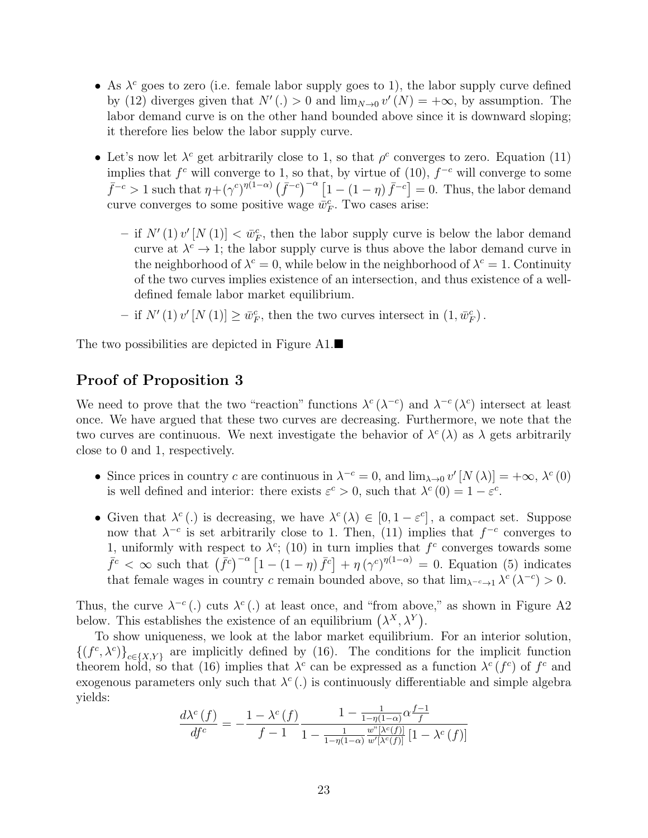- As  $\lambda^c$  goes to zero (i.e. female labor supply goes to 1), the labor supply curve defined by (12) diverges given that  $N'(.) > 0$  and  $\lim_{N\to 0} v'(N) = +\infty$ , by assumption. The labor demand curve is on the other hand bounded above since it is downward sloping; it therefore lies below the labor supply curve.
- Let's now let  $\lambda^c$  get arbitrarily close to 1, so that  $\rho^c$  converges to zero. Equation (11) implies that  $f^c$  will converge to 1, so that, by virtue of  $(10)$ ,  $f^{-c}$  will converge to some  $\bar{f}^{-c} > 1$  such that  $\eta + (\gamma^c)^{\eta(1-\alpha)} \left( \bar{f}^{-c} \right)^{-\alpha} [1-(1-\eta) \bar{f}^{-c}] = 0$ . Thus, the labor demand curve converges to some positive wage  $\bar{w}_F^c$ . Two cases arise:
	- if  $N'(1)v'[N(1)] < \bar{w}_F^c$ , then the labor supply curve is below the labor demand curve at  $\lambda^c \to 1$ ; the labor supply curve is thus above the labor demand curve in the neighborhood of  $\lambda^c = 0$ , while below in the neighborhood of  $\lambda^c = 1$ . Continuity of the two curves implies existence of an intersection, and thus existence of a welldefined female labor market equilibrium.
	- if  $N'(1) v'[N(1)] \ge \bar{w}_F^c$ , then the two curves intersect in  $(1, \bar{w}_F^c)$ .

The two possibilities are depicted in Figure  $A1$ .

### Proof of Proposition 3

We need to prove that the two "reaction" functions  $\lambda^c (\lambda^{-c})$  and  $\lambda^{-c} (\lambda^c)$  intersect at least once. We have argued that these two curves are decreasing. Furthermore, we note that the two curves are continuous. We next investigate the behavior of  $\lambda^c(\lambda)$  as  $\lambda$  gets arbitrarily close to 0 and 1, respectively.

- Since prices in country c are continuous in  $\lambda^{-c} = 0$ , and  $\lim_{\lambda \to 0} v'[N(\lambda)] = +\infty$ ,  $\lambda^{c}(0)$ is well defined and interior: there exists  $\varepsilon^c > 0$ , such that  $\lambda^c(0) = 1 - \varepsilon^c$ .
- Given that  $\lambda^c(.)$  is decreasing, we have  $\lambda^c(\lambda) \in [0, 1-\varepsilon^c]$ , a compact set. Suppose now that  $\lambda^{-c}$  is set arbitrarily close to 1. Then, (11) implies that  $f^{-c}$  converges to 1, uniformly with respect to  $\lambda^c$ ; (10) in turn implies that  $f^c$  converges towards some  $\bar{f}^c < \infty$  such that  $(\bar{f}^c)^{-\alpha} [1 - (1 - \eta) \bar{f}^c] + \eta (\gamma^c)^{\eta(1-\alpha)} = 0$ . Equation (5) indicates that female wages in country c remain bounded above, so that  $\lim_{\lambda^{-c} \to 1} \lambda^c (\lambda^{-c}) > 0$ .

Thus, the curve  $\lambda^{-c}$  (.) cuts  $\lambda^{c}$  (.) at least once, and "from above," as shown in Figure A2 below. This establishes the existence of an equilibrium  $(\lambda^X, \lambda^Y)$ .

To show uniqueness, we look at the labor market equilibrium. For an interior solution,  $\{(f^c, \lambda^c)\}_{c \in \{X,Y\}}$  are implicitly defined by (16). The conditions for the implicit function theorem hold, so that (16) implies that  $\lambda^c$  can be expressed as a function  $\lambda^c(f^c)$  of  $f^c$  and exogenous parameters only such that  $\lambda^c(.)$  is continuously differentiable and simple algebra yields:

$$
\frac{d\lambda^{c}(f)}{df^{c}} = -\frac{1 - \lambda^{c}(f)}{f - 1} \frac{1 - \frac{1}{1 - \eta(1 - \alpha)} \alpha \frac{f - 1}{f}}{1 - \frac{1}{1 - \eta(1 - \alpha)} \frac{w^{n}[\lambda^{c}(f)]}{w'[\lambda^{c}(f)]} [1 - \lambda^{c}(f)]}
$$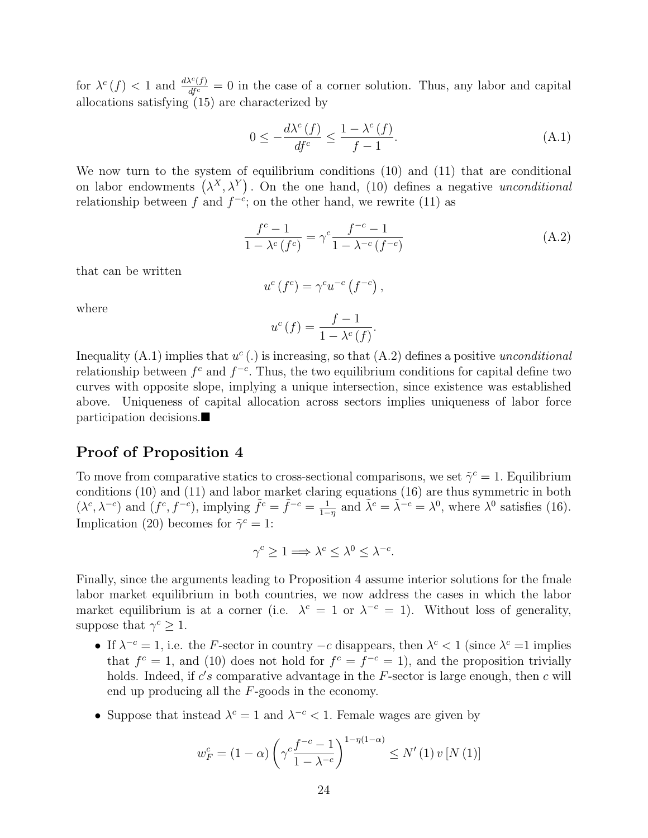for  $\lambda^c(f) < 1$  and  $\frac{d\lambda^c(f)}{df^c} = 0$  in the case of a corner solution. Thus, any labor and capital allocations satisfying (15) are characterized by

$$
0 \le -\frac{d\lambda^{c}(f)}{df^{c}} \le \frac{1 - \lambda^{c}(f)}{f - 1}.
$$
\n(A.1)

We now turn to the system of equilibrium conditions (10) and (11) that are conditional on labor endowments  $(\lambda^X, \lambda^Y)$ . On the one hand, (10) defines a negative *unconditional* relationship between f and  $f^{-c}$ ; on the other hand, we rewrite (11) as

$$
\frac{f^{c}-1}{1-\lambda^{c}(f^{c})} = \gamma^{c} \frac{f^{-c}-1}{1-\lambda^{-c}(f^{-c})}
$$
(A.2)

that can be written

$$
u^{c}(f^{c}) = \gamma^{c} u^{-c}(f^{-c}),
$$

where

$$
u^{c}(f) = \frac{f-1}{1 - \lambda^{c}(f)}.
$$

Inequality (A.1) implies that  $u^c(.)$  is increasing, so that (A.2) defines a positive *unconditional* relationship between  $f^c$  and  $f^{-c}$ . Thus, the two equilibrium conditions for capital define two curves with opposite slope, implying a unique intersection, since existence was established above. Uniqueness of capital allocation across sectors implies uniqueness of labor force participation decisions.

### Proof of Proposition 4

To move from comparative statics to cross-sectional comparisons, we set  $\tilde{\gamma}^c = 1$ . Equilibrium conditions (10) and (11) and labor market claring equations (16) are thus symmetric in both  $(\lambda^c, \lambda^{-c})$  and  $(f^c, f^{-c})$ , implying  $\tilde{f}^c = \tilde{f}^{-c} = \frac{1}{1-c}$  $\frac{1}{1-\eta}$  and  $\tilde{\lambda}^c = \tilde{\lambda}^{-c} = \lambda^0$ , where  $\lambda^0$  satisfies (16). Implication (20) becomes for  $\tilde{\gamma}^c = 1$ :

$$
\gamma^c \ge 1 \Longrightarrow \lambda^c \le \lambda^0 \le \lambda^{-c}.
$$

Finally, since the arguments leading to Proposition 4 assume interior solutions for the fmale labor market equilibrium in both countries, we now address the cases in which the labor market equilibrium is at a corner (i.e.  $\lambda^c = 1$  or  $\lambda^{-c} = 1$ ). Without loss of generality, suppose that  $\gamma^c \geq 1$ .

- If  $\lambda^{-c} = 1$ , i.e. the F-sector in country  $-c$  disappears, then  $\lambda^{c} < 1$  (since  $\lambda^{c} = 1$  implies that  $f^c = 1$ , and (10) does not hold for  $f^c = f^{-c} = 1$ , and the proposition trivially holds. Indeed, if  $c's$  comparative advantage in the  $F$ -sector is large enough, then  $c$  will end up producing all the F-goods in the economy.
- Suppose that instead  $\lambda^c = 1$  and  $\lambda^{-c} < 1$ . Female wages are given by

$$
w_F^c = (1 - \alpha) \left( \gamma^c \frac{f^{-c} - 1}{1 - \lambda^{-c}} \right)^{1 - \eta(1 - \alpha)} \le N' \left( 1 \right) v \left[ N \left( 1 \right) \right]
$$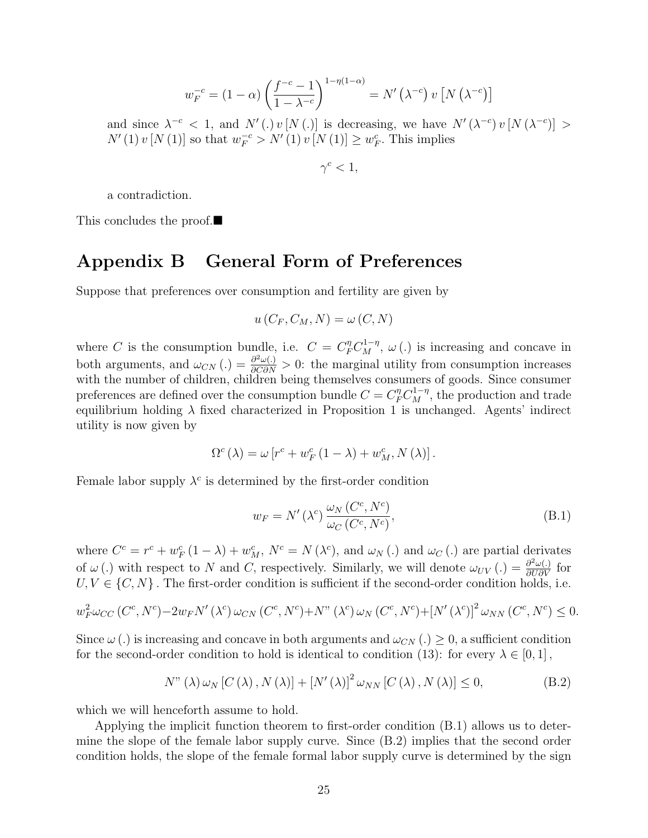$$
w_F^{-c} = (1 - \alpha) \left( \frac{f^{-c} - 1}{1 - \lambda^{-c}} \right)^{1 - \eta(1 - \alpha)} = N' \left( \lambda^{-c} \right) v \left[ N \left( \lambda^{-c} \right) \right]
$$

and since  $\lambda^{-c} < 1$ , and  $N'(.) v[N(.)]$  is decreasing, we have  $N'(\lambda^{-c}) v[N(\lambda^{-c})] >$  $N'(1) v [N(1)]$  so that  $w_F^{-c} > N'(1) v [N(1)] \geq w_F^{c}$ . This implies

 $\gamma^c < 1$ ,

a contradiction.

This concludes the proof.

### Appendix B General Form of Preferences

Suppose that preferences over consumption and fertility are given by

$$
u(C_F, C_M, N) = \omega(C, N)
$$

where C is the consumption bundle, i.e.  $C = C_F^{\eta} C_M^{1-\eta}$ ,  $\omega(.)$  is increasing and concave in both arguments, and  $\omega_{CN}(.) = \frac{\partial^2 \omega(.)}{\partial C \partial N} > 0$ : the marginal utility from consumption increases with the number of children, children being themselves consumers of goods. Since consumer preferences are defined over the consumption bundle  $C = C_F^{\eta} C_M^{1-\eta}$ , the production and trade equilibrium holding  $\lambda$  fixed characterized in Proposition 1 is unchanged. Agents' indirect utility is now given by

$$
\Omega^{c} \left( \lambda \right) = \omega \left[ r^{c} + w^{c}_{F} \left( 1-\lambda \right) + w^{c}_{M} , N \left( \lambda \right) \right].
$$

Female labor supply  $\lambda^c$  is determined by the first-order condition

$$
w_F = N'(\lambda^c) \frac{\omega_N(C^c, N^c)}{\omega_C(C^c, N^c)},
$$
\n(B.1)

where  $C^c = r^c + w_F^c (1 - \lambda) + w_M^c$ ,  $N^c = N(\lambda^c)$ , and  $\omega_N(\lambda)$  and  $\omega_C(\lambda)$  are partial derivates of  $\omega$  (.) with respect to N and C, respectively. Similarly, we will denote  $\omega_{UV}(.) = \frac{\partial^2 \omega(.)}{\partial U \partial V}$  for  $U, V \in \{C, N\}$ . The first-order condition is sufficient if the second-order condition holds, i.e.

$$
w_F^2 \omega_{CC} (C^c, N^c) - 2w_F N' (\lambda^c) \omega_{CN} (C^c, N^c) + N'' (\lambda^c) \omega_N (C^c, N^c) + [N' (\lambda^c)]^2 \omega_{NN} (C^c, N^c) \le 0.
$$

Since  $\omega$  (.) is increasing and concave in both arguments and  $\omega_{CN}$  (.)  $\geq 0$ , a sufficient condition for the second-order condition to hold is identical to condition (13): for every  $\lambda \in [0,1]$ ,

$$
N^{"}\left(\lambda\right)\omega_{N}\left[C\left(\lambda\right),N\left(\lambda\right)\right]+\left[N'\left(\lambda\right)\right]^{2}\omega_{NN}\left[C\left(\lambda\right),N\left(\lambda\right)\right]\leq0,\tag{B.2}
$$

which we will henceforth assume to hold.

Applying the implicit function theorem to first-order condition (B.1) allows us to determine the slope of the female labor supply curve. Since (B.2) implies that the second order condition holds, the slope of the female formal labor supply curve is determined by the sign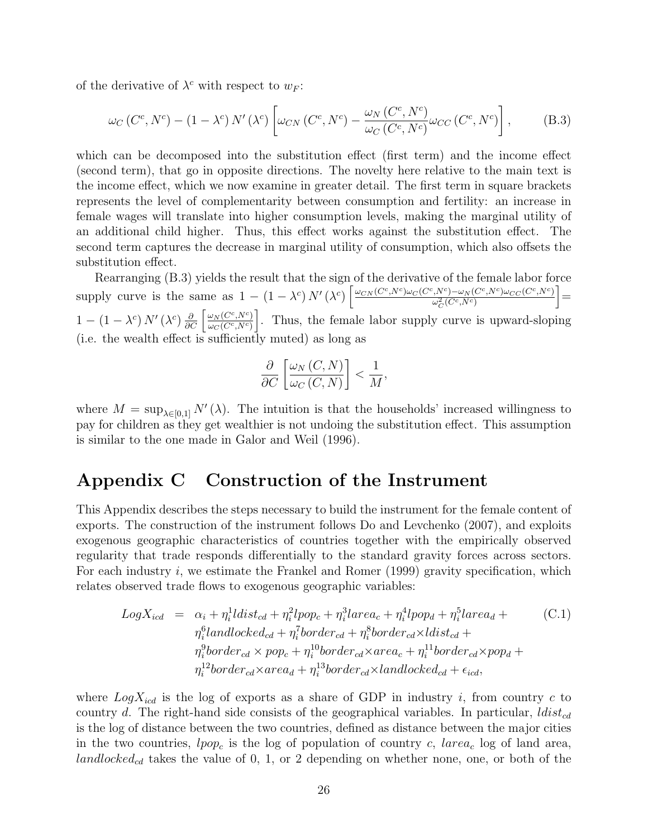of the derivative of  $\lambda^c$  with respect to  $w_F$ :

$$
\omega_C(C^c, N^c) - (1 - \lambda^c) N'(\lambda^c) \left[ \omega_{CN}(C^c, N^c) - \frac{\omega_N(C^c, N^c)}{\omega_C(C^c, N^c)} \omega_{CC}(C^c, N^c) \right],
$$
 (B.3)

which can be decomposed into the substitution effect (first term) and the income effect (second term), that go in opposite directions. The novelty here relative to the main text is the income effect, which we now examine in greater detail. The first term in square brackets represents the level of complementarity between consumption and fertility: an increase in female wages will translate into higher consumption levels, making the marginal utility of an additional child higher. Thus, this effect works against the substitution effect. The second term captures the decrease in marginal utility of consumption, which also offsets the substitution effect.

Rearranging (B.3) yields the result that the sign of the derivative of the female labor force supply curve is the same as  $1 - (1 - \lambda^c) N'(\lambda^c) \left[ \frac{\omega_{CN}(C^c, N^c) \omega_{C}(C^c, N^c) - \omega_{N}(C^c, N^c) \omega_{CC}(C^c, N^c)}{\lambda^2 (C^c, N^c)} \right]$  $\omega_C^2(C^c,N^c)$  $] =$  $1-\left(1-\lambda^{c}\right)N'\left(\lambda^{c}\right)\frac{\partial}{\partial C}\left[\frac{\omega_{N}\left(C^{c},N^{c}\right)}{\omega_{C}\left(C^{c},N^{c}\right)}\right]$  $\overline{\omega_{C}(C^c,N^c)}$ . Thus, the female labor supply curve is upward-sloping (i.e. the wealth effect is sufficiently muted) as long as

$$
\frac{\partial}{\partial C} \left[ \frac{\omega_N(C, N)}{\omega_C(C, N)} \right] < \frac{1}{M},
$$

where  $M = \sup_{\lambda \in [0,1]} N'(\lambda)$ . The intuition is that the households' increased willingness to pay for children as they get wealthier is not undoing the substitution effect. This assumption is similar to the one made in Galor and Weil (1996).

## Appendix C Construction of the Instrument

This Appendix describes the steps necessary to build the instrument for the female content of exports. The construction of the instrument follows Do and Levchenko (2007), and exploits exogenous geographic characteristics of countries together with the empirically observed regularity that trade responds differentially to the standard gravity forces across sectors. For each industry i, we estimate the Frankel and Romer  $(1999)$  gravity specification, which relates observed trade flows to exogenous geographic variables:

$$
LogX_{icd} = \alpha_i + \eta_i^1 \text{ldist}_{cd} + \eta_i^2 \text{lpop}_c + \eta_i^3 \text{larea}_c + \eta_i^4 \text{lpop}_d + \eta_i^5 \text{larea}_d + \eta_i^6 \text{landlocked}_{cd} + \eta_i^7 \text{border}_{cd} + \eta_i^8 \text{border}_{cd} \times \text{ldist}_{cd} + \eta_i^9 \text{border}_{cd} \times \text{pop}_d + \eta_i^9 \text{border}_{cd} \times \text{prop}_d + \eta_i^1 \text{border}_{cd} \times \text{prop}_d + \eta_i^{12} \text{border}_{cd} \times \text{area}_d + \eta_i^{13} \text{border}_{cd} \times \text{landlocked}_{cd} + \epsilon_{icd},
$$
\n
$$
(C.1)
$$

where  $LogX_{icd}$  is the log of exports as a share of GDP in industry i, from country c to country d. The right-hand side consists of the geographical variables. In particular,  $ldist_{cd}$ is the log of distance between the two countries, defined as distance between the major cities in the two countries,  $lpop_c$  is the log of population of country c, larea<sub>c</sub> log of land area, landlocked<sub>cd</sub> takes the value of 0, 1, or 2 depending on whether none, one, or both of the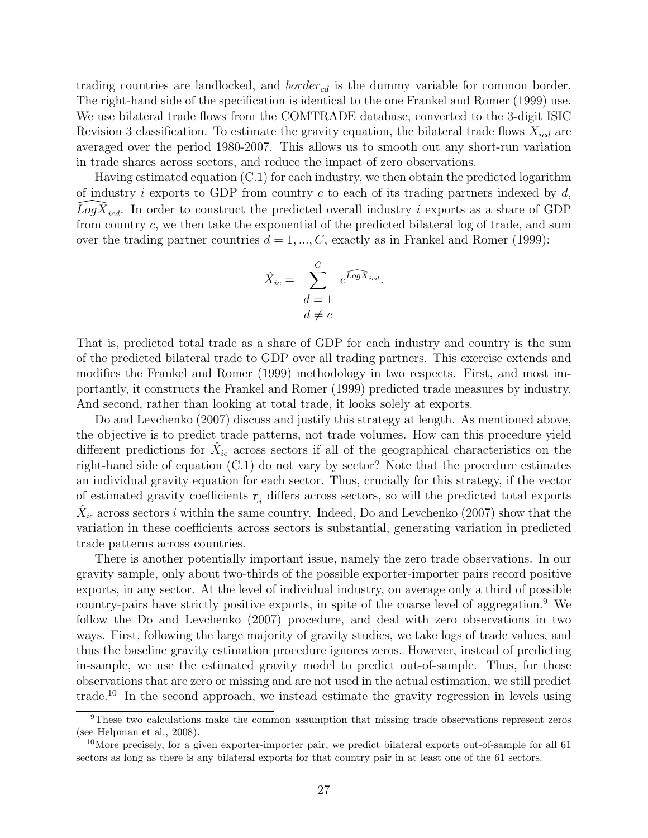trading countries are landlocked, and  $border_{cd}$  is the dummy variable for common border. The right-hand side of the specification is identical to the one Frankel and Romer (1999) use. We use bilateral trade flows from the COMTRADE database, converted to the 3-digit ISIC Revision 3 classification. To estimate the gravity equation, the bilateral trade flows  $X_{icd}$  are averaged over the period 1980-2007. This allows us to smooth out any short-run variation in trade shares across sectors, and reduce the impact of zero observations.

Having estimated equation (C.1) for each industry, we then obtain the predicted logarithm of industry  $i$  exports to GDP from country c to each of its trading partners indexed by  $d$ ,  $\overline{Log}\overline{X}_{icd}$ . In order to construct the predicted overall industry i exports as a share of GDP from country c, we then take the exponential of the predicted bilateral log of trade, and sum over the trading partner countries  $d = 1, ..., C$ , exactly as in Frankel and Romer (1999):

$$
\hat{X}_{ic} = \sum_{\substack{d=1 \ d \neq c}}^{C} e^{\widehat{LogX}_{icd}}.
$$

That is, predicted total trade as a share of GDP for each industry and country is the sum of the predicted bilateral trade to GDP over all trading partners. This exercise extends and modifies the Frankel and Romer (1999) methodology in two respects. First, and most importantly, it constructs the Frankel and Romer (1999) predicted trade measures by industry. And second, rather than looking at total trade, it looks solely at exports.

Do and Levchenko (2007) discuss and justify this strategy at length. As mentioned above, the objective is to predict trade patterns, not trade volumes. How can this procedure yield different predictions for  $\hat{X}_{ic}$  across sectors if all of the geographical characteristics on the right-hand side of equation (C.1) do not vary by sector? Note that the procedure estimates an individual gravity equation for each sector. Thus, crucially for this strategy, if the vector of estimated gravity coefficients  $\eta_i$  differs across sectors, so will the predicted total exports  $\hat{X}_{ic}$  across sectors i within the same country. Indeed, Do and Levchenko (2007) show that the variation in these coefficients across sectors is substantial, generating variation in predicted trade patterns across countries.

There is another potentially important issue, namely the zero trade observations. In our gravity sample, only about two-thirds of the possible exporter-importer pairs record positive exports, in any sector. At the level of individual industry, on average only a third of possible country-pairs have strictly positive exports, in spite of the coarse level of aggregation.<sup>9</sup> We follow the Do and Levchenko (2007) procedure, and deal with zero observations in two ways. First, following the large majority of gravity studies, we take logs of trade values, and thus the baseline gravity estimation procedure ignores zeros. However, instead of predicting in-sample, we use the estimated gravity model to predict out-of-sample. Thus, for those observations that are zero or missing and are not used in the actual estimation, we still predict trade.<sup>10</sup> In the second approach, we instead estimate the gravity regression in levels using

<sup>9</sup>These two calculations make the common assumption that missing trade observations represent zeros (see Helpman et al., 2008).

<sup>&</sup>lt;sup>10</sup>More precisely, for a given exporter-importer pair, we predict bilateral exports out-of-sample for all 61 sectors as long as there is any bilateral exports for that country pair in at least one of the 61 sectors.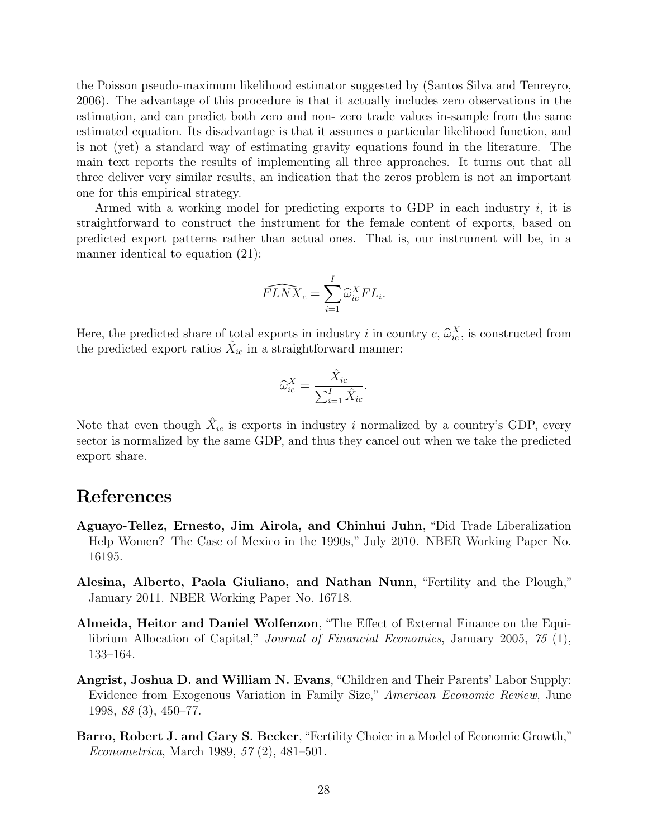the Poisson pseudo-maximum likelihood estimator suggested by (Santos Silva and Tenreyro, 2006). The advantage of this procedure is that it actually includes zero observations in the estimation, and can predict both zero and non- zero trade values in-sample from the same estimated equation. Its disadvantage is that it assumes a particular likelihood function, and is not (yet) a standard way of estimating gravity equations found in the literature. The main text reports the results of implementing all three approaches. It turns out that all three deliver very similar results, an indication that the zeros problem is not an important one for this empirical strategy.

Armed with a working model for predicting exports to GDP in each industry  $i$ , it is straightforward to construct the instrument for the female content of exports, based on predicted export patterns rather than actual ones. That is, our instrument will be, in a manner identical to equation (21):

$$
\widehat{FLNX}_c = \sum_{i=1}^I \widehat{\omega}_{ic}^X FL_i.
$$

Here, the predicted share of total exports in industry i in country c,  $\hat{\omega}_{ic}^X$ , is constructed from the predicted export ratios  $\hat{Y}$  in a straightforward manner. the predicted export ratios  $\hat{X}_{ic}$  in a straightforward manner:

$$
\widehat{\omega}_{ic}^X = \frac{\widehat{X}_{ic}}{\sum_{i=1}^I \widehat{X}_{ic}}.
$$

Note that even though  $\hat{X}_{ic}$  is exports in industry i normalized by a country's GDP, every sector is normalized by the same GDP, and thus they cancel out when we take the predicted export share.

### References

- Aguayo-Tellez, Ernesto, Jim Airola, and Chinhui Juhn, "Did Trade Liberalization Help Women? The Case of Mexico in the 1990s," July 2010. NBER Working Paper No. 16195.
- Alesina, Alberto, Paola Giuliano, and Nathan Nunn, "Fertility and the Plough," January 2011. NBER Working Paper No. 16718.
- Almeida, Heitor and Daniel Wolfenzon, "The Effect of External Finance on the Equilibrium Allocation of Capital," Journal of Financial Economics, January 2005, 75 (1), 133–164.
- Angrist, Joshua D. and William N. Evans, "Children and Their Parents' Labor Supply: Evidence from Exogenous Variation in Family Size," American Economic Review, June 1998, 88 (3), 450–77.
- Barro, Robert J. and Gary S. Becker, "Fertility Choice in a Model of Economic Growth," Econometrica, March 1989, 57 (2), 481–501.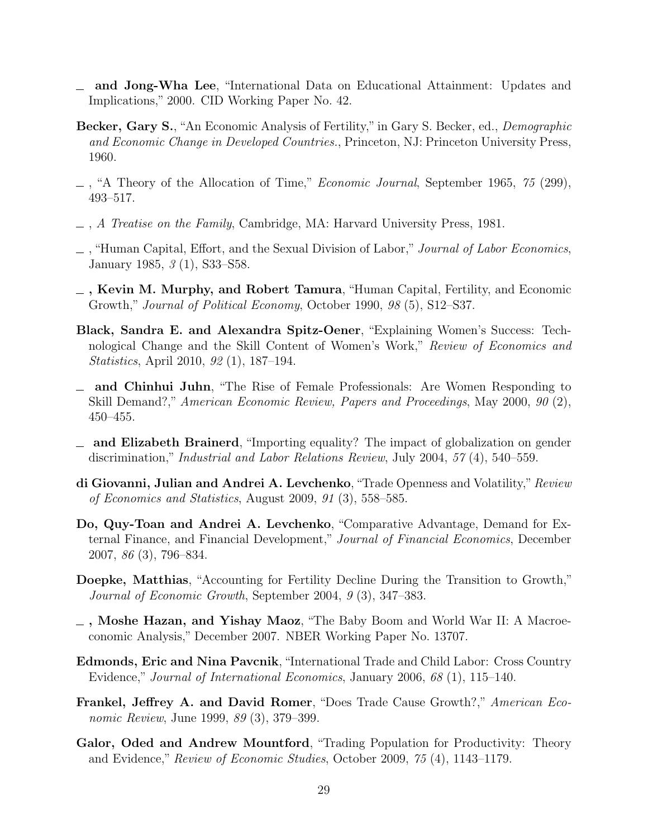- and Jong-Wha Lee, "International Data on Educational Attainment: Updates and Implications," 2000. CID Working Paper No. 42.
- Becker, Gary S., "An Economic Analysis of Fertility," in Gary S. Becker, ed., Demographic and Economic Change in Developed Countries., Princeton, NJ: Princeton University Press, 1960.
- $\ldots$ , "A Theory of the Allocation of Time," *Economic Journal*, September 1965, 75 (299), 493–517.
- $\Box$ , A Treatise on the Family, Cambridge, MA: Harvard University Press, 1981.
- $\Box$ , "Human Capital, Effort, and the Sexual Division of Labor," Journal of Labor Economics, January 1985, 3 (1), S33–S58.
- $_$ , Kevin M. Murphy, and Robert Tamura, "Human Capital, Fertility, and Economic Growth," Journal of Political Economy, October 1990, 98 (5), S12–S37.
- Black, Sandra E. and Alexandra Spitz-Oener, "Explaining Women's Success: Technological Change and the Skill Content of Women's Work," Review of Economics and Statistics, April 2010, 92 (1), 187–194.
- and Chinhui Juhn, "The Rise of Female Professionals: Are Women Responding to Skill Demand?," American Economic Review, Papers and Proceedings, May 2000, 90 (2), 450–455.
- and Elizabeth Brainerd, "Importing equality? The impact of globalization on gender discrimination," Industrial and Labor Relations Review, July 2004, 57 (4), 540–559.
- di Giovanni, Julian and Andrei A. Levchenko, "Trade Openness and Volatility," Review of Economics and Statistics, August 2009, 91 (3), 558–585.
- Do, Quy-Toan and Andrei A. Levchenko, "Comparative Advantage, Demand for External Finance, and Financial Development," Journal of Financial Economics, December 2007, 86 (3), 796–834.
- Doepke, Matthias, "Accounting for Fertility Decline During the Transition to Growth," Journal of Economic Growth, September 2004, 9 (3), 347–383.
- , Moshe Hazan, and Yishay Maoz, "The Baby Boom and World War II: A Macroeconomic Analysis," December 2007. NBER Working Paper No. 13707.
- Edmonds, Eric and Nina Pavcnik, "International Trade and Child Labor: Cross Country Evidence," Journal of International Economics, January 2006, 68 (1), 115–140.
- Frankel, Jeffrey A. and David Romer, "Does Trade Cause Growth?," American Economic Review, June 1999, 89 (3), 379–399.
- Galor, Oded and Andrew Mountford, "Trading Population for Productivity: Theory and Evidence," Review of Economic Studies, October 2009, 75 (4), 1143–1179.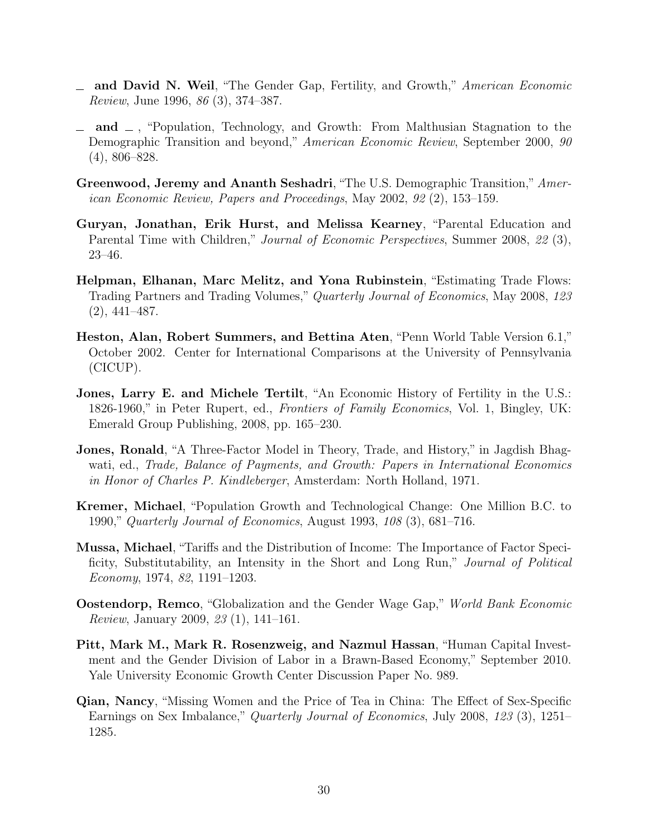- and David N. Weil, "The Gender Gap, Fertility, and Growth," American Economic Review, June 1996, 86 (3), 374–387.
- $\Box$  and  $\Box$ , "Population, Technology, and Growth: From Malthusian Stagnation to the Demographic Transition and beyond," American Economic Review, September 2000, 90 (4), 806–828.
- Greenwood, Jeremy and Ananth Seshadri, "The U.S. Demographic Transition," American Economic Review, Papers and Proceedings, May 2002, 92 (2), 153–159.
- Guryan, Jonathan, Erik Hurst, and Melissa Kearney, "Parental Education and Parental Time with Children," *Journal of Economic Perspectives*, Summer 2008, 22(3), 23–46.
- Helpman, Elhanan, Marc Melitz, and Yona Rubinstein, "Estimating Trade Flows: Trading Partners and Trading Volumes," Quarterly Journal of Economics, May 2008, 123 (2), 441–487.
- Heston, Alan, Robert Summers, and Bettina Aten, "Penn World Table Version 6.1," October 2002. Center for International Comparisons at the University of Pennsylvania (CICUP).
- Jones, Larry E. and Michele Tertilt, "An Economic History of Fertility in the U.S.: 1826-1960," in Peter Rupert, ed., Frontiers of Family Economics, Vol. 1, Bingley, UK: Emerald Group Publishing, 2008, pp. 165–230.
- Jones, Ronald, "A Three-Factor Model in Theory, Trade, and History," in Jagdish Bhagwati, ed., Trade, Balance of Payments, and Growth: Papers in International Economics in Honor of Charles P. Kindleberger, Amsterdam: North Holland, 1971.
- Kremer, Michael, "Population Growth and Technological Change: One Million B.C. to 1990," Quarterly Journal of Economics, August 1993, 108 (3), 681–716.
- Mussa, Michael, "Tariffs and the Distribution of Income: The Importance of Factor Specificity, Substitutability, an Intensity in the Short and Long Run," Journal of Political Economy, 1974, 82, 1191–1203.
- Oostendorp, Remco, "Globalization and the Gender Wage Gap," World Bank Economic Review, January 2009, 23 (1), 141–161.
- Pitt, Mark M., Mark R. Rosenzweig, and Nazmul Hassan, "Human Capital Investment and the Gender Division of Labor in a Brawn-Based Economy," September 2010. Yale University Economic Growth Center Discussion Paper No. 989.
- Qian, Nancy, "Missing Women and the Price of Tea in China: The Effect of Sex-Specific Earnings on Sex Imbalance," Quarterly Journal of Economics, July 2008, 123 (3), 1251– 1285.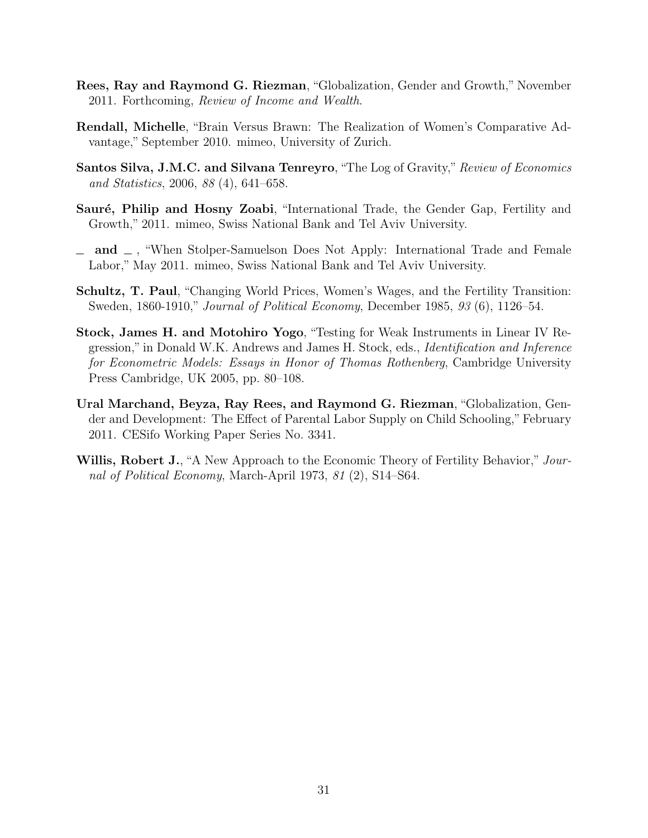- Rees, Ray and Raymond G. Riezman, "Globalization, Gender and Growth," November 2011. Forthcoming, Review of Income and Wealth.
- Rendall, Michelle, "Brain Versus Brawn: The Realization of Women's Comparative Advantage," September 2010. mimeo, University of Zurich.
- Santos Silva, J.M.C. and Silvana Tenreyro, "The Log of Gravity," Review of Economics and Statistics, 2006, 88 (4), 641–658.
- Sauré, Philip and Hosny Zoabi, "International Trade, the Gender Gap, Fertility and Growth," 2011. mimeo, Swiss National Bank and Tel Aviv University.
- $\Box$  and  $\Box$ , "When Stolper-Samuelson Does Not Apply: International Trade and Female Labor," May 2011. mimeo, Swiss National Bank and Tel Aviv University.
- Schultz, T. Paul, "Changing World Prices, Women's Wages, and the Fertility Transition: Sweden, 1860-1910," Journal of Political Economy, December 1985, 93 (6), 1126–54.
- Stock, James H. and Motohiro Yogo, "Testing for Weak Instruments in Linear IV Regression," in Donald W.K. Andrews and James H. Stock, eds., Identification and Inference for Econometric Models: Essays in Honor of Thomas Rothenberg, Cambridge University Press Cambridge, UK 2005, pp. 80–108.
- Ural Marchand, Beyza, Ray Rees, and Raymond G. Riezman, "Globalization, Gender and Development: The Effect of Parental Labor Supply on Child Schooling," February 2011. CESifo Working Paper Series No. 3341.
- Willis, Robert J., "A New Approach to the Economic Theory of Fertility Behavior," Journal of Political Economy, March-April 1973, 81 (2), S14–S64.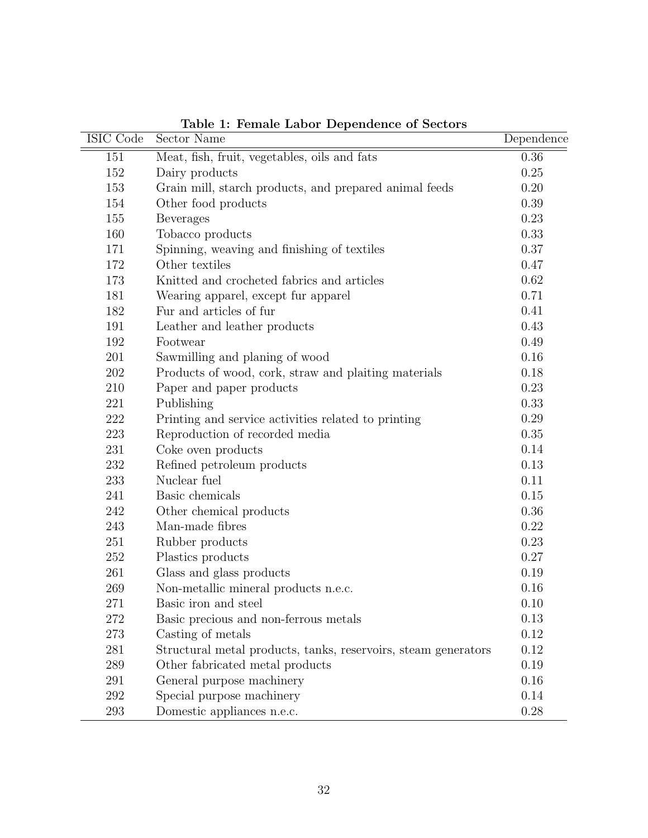| ISIC Code | Sector Name                                                    | Dependence |
|-----------|----------------------------------------------------------------|------------|
| 151       | Meat, fish, fruit, vegetables, oils and fats                   | 0.36       |
| 152       | Dairy products                                                 | 0.25       |
| 153       | Grain mill, starch products, and prepared animal feeds         | 0.20       |
| 154       | Other food products                                            | 0.39       |
| 155       | <b>Beverages</b>                                               | 0.23       |
| 160       | Tobacco products                                               | 0.33       |
| 171       | Spinning, weaving and finishing of textiles                    | 0.37       |
| 172       | Other textiles                                                 | 0.47       |
| 173       | Knitted and crocheted fabrics and articles                     | 0.62       |
| 181       | Wearing apparel, except fur apparel                            | 0.71       |
| 182       | Fur and articles of fur                                        | 0.41       |
| 191       | Leather and leather products                                   | 0.43       |
| 192       | Footwear                                                       | 0.49       |
| 201       | Sawmilling and planing of wood                                 | 0.16       |
| 202       | Products of wood, cork, straw and plaiting materials           | 0.18       |
| 210       | Paper and paper products                                       | 0.23       |
| 221       | Publishing                                                     | 0.33       |
| 222       | Printing and service activities related to printing            | 0.29       |
| 223       | Reproduction of recorded media                                 | 0.35       |
| 231       | Coke oven products                                             | 0.14       |
| 232       | Refined petroleum products                                     | 0.13       |
| 233       | Nuclear fuel                                                   | 0.11       |
| 241       | Basic chemicals                                                | 0.15       |
| 242       | Other chemical products                                        | 0.36       |
| 243       | Man-made fibres                                                | 0.22       |
| 251       | Rubber products                                                | 0.23       |
| 252       | Plastics products                                              | 0.27       |
| 261       | Glass and glass products                                       | 0.19       |
| 269       | Non-metallic mineral products n.e.c.                           | 0.16       |
| 271       | Basic iron and steel                                           | 0.10       |
| 272       | Basic precious and non-ferrous metals                          | 0.13       |
| 273       | Casting of metals                                              | 0.12       |
| 281       | Structural metal products, tanks, reservoirs, steam generators | 0.12       |
| 289       | Other fabricated metal products                                | 0.19       |
| 291       | General purpose machinery                                      | 0.16       |
| 292       | Special purpose machinery                                      | 0.14       |
| 293       | Domestic appliances n.e.c.                                     | 0.28       |

Table 1: Female Labor Dependence of Sectors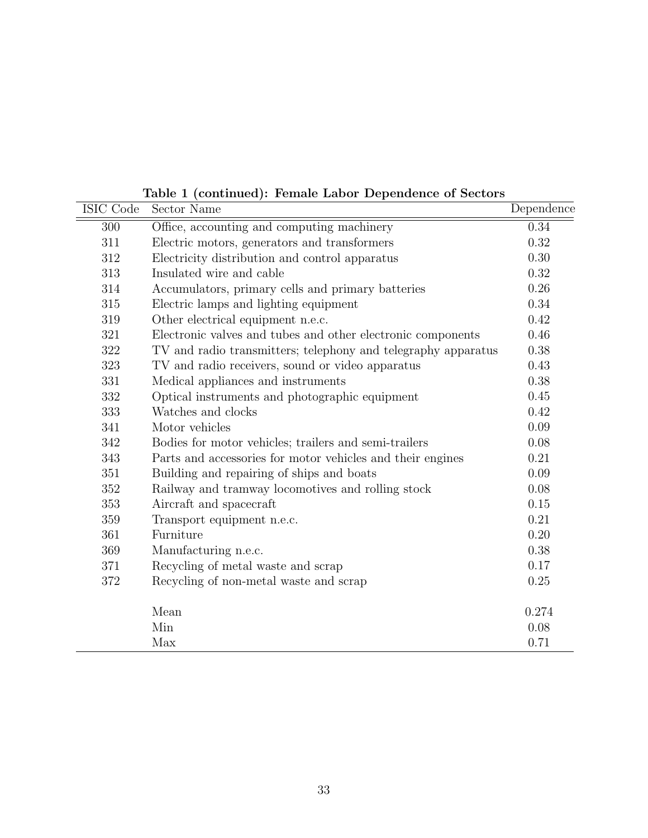| Table 1 (continued): Female Labor Dependence of Sectors |  |  |  |  |  |  |
|---------------------------------------------------------|--|--|--|--|--|--|
|---------------------------------------------------------|--|--|--|--|--|--|

| ISIC Code | Sector Name                                                   | Dependence |
|-----------|---------------------------------------------------------------|------------|
| 300       | Office, accounting and computing machinery                    | 0.34       |
| 311       | Electric motors, generators and transformers                  | 0.32       |
| 312       | Electricity distribution and control apparatus                | 0.30       |
| 313       | Insulated wire and cable                                      | 0.32       |
| 314       | Accumulators, primary cells and primary batteries             | 0.26       |
| $315\,$   | Electric lamps and lighting equipment                         | 0.34       |
| 319       | Other electrical equipment n.e.c.                             | 0.42       |
| 321       | Electronic valves and tubes and other electronic components   | 0.46       |
| 322       | TV and radio transmitters; telephony and telegraphy apparatus | 0.38       |
| 323       | TV and radio receivers, sound or video apparatus              | 0.43       |
| 331       | Medical appliances and instruments                            | 0.38       |
| 332       | Optical instruments and photographic equipment                | 0.45       |
| 333       | Watches and clocks                                            | 0.42       |
| 341       | Motor vehicles                                                | 0.09       |
| 342       | Bodies for motor vehicles; trailers and semi-trailers         | 0.08       |
| 343       | Parts and accessories for motor vehicles and their engines    | 0.21       |
| 351       | Building and repairing of ships and boats                     | 0.09       |
| 352       | Railway and tramway locomotives and rolling stock             | 0.08       |
| 353       | Aircraft and spacecraft                                       | 0.15       |
| 359       | Transport equipment n.e.c.                                    | 0.21       |
| 361       | Furniture                                                     | 0.20       |
| 369       | Manufacturing n.e.c.                                          | 0.38       |
| 371       | Recycling of metal waste and scrap                            | 0.17       |
| 372       | Recycling of non-metal waste and scrap                        | 0.25       |
|           | Mean                                                          | 0.274      |
|           | Min                                                           | 0.08       |
|           | Max                                                           | 0.71       |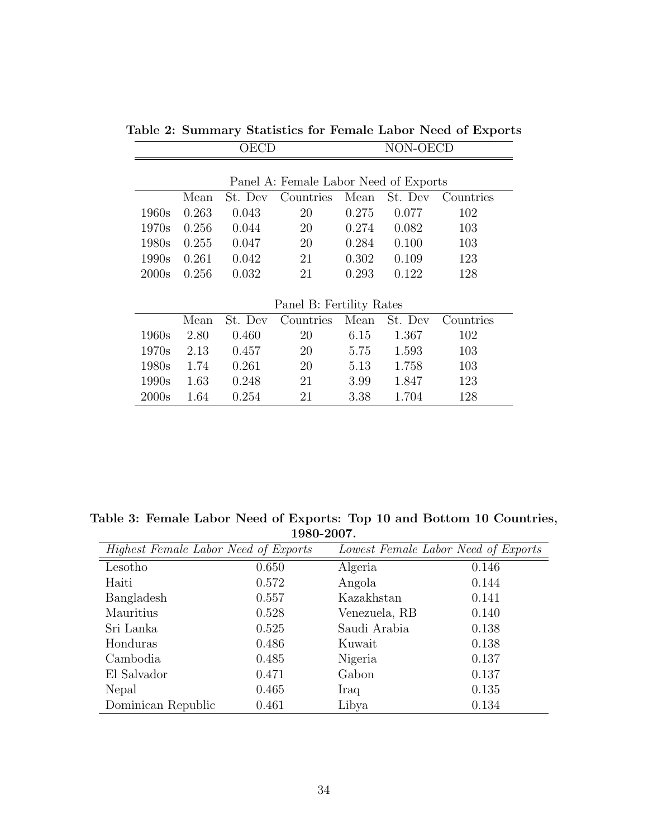|       | OECD                                  |         |                          |       | NON-OECD |           |  |  |
|-------|---------------------------------------|---------|--------------------------|-------|----------|-----------|--|--|
|       | Panel A: Female Labor Need of Exports |         |                          |       |          |           |  |  |
|       | Mean                                  | St. Dev | Countries                | Mean  | St. Dev  | Countries |  |  |
| 1960s | 0.263                                 | 0.043   | 20                       | 0.275 | 0.077    | 102       |  |  |
| 1970s | 0.256                                 | 0.044   | 20                       | 0.274 | 0.082    | 103       |  |  |
| 1980s | 0.255                                 | 0.047   | 20                       | 0.284 | 0.100    | 103       |  |  |
| 1990s | 0.261                                 | 0.042   | 21                       | 0.302 | 0.109    | 123       |  |  |
| 2000s | 0.256                                 | 0.032   | 21                       | 0.293 | 0.122    | 128       |  |  |
|       |                                       |         |                          |       |          |           |  |  |
|       |                                       |         | Panel B: Fertility Rates |       |          |           |  |  |
|       | Mean                                  | St. Dev | Countries                | Mean  | St. Dev  | Countries |  |  |
| 1960s | 2.80                                  | 0.460   | 20                       | 6.15  | 1.367    | 102       |  |  |
| 1970s | 2.13                                  | 0.457   | 20                       | 5.75  | 1.593    | 103       |  |  |
| 1980s | 1.74                                  | 0.261   | 20                       | 5.13  | 1.758    | 103       |  |  |
| 1990s | 1.63                                  | 0.248   | 21                       | 3.99  | 1.847    | 123       |  |  |
| 2000s | 1.64                                  | 0.254   | 21                       | 3.38  | 1.704    | 128       |  |  |

Table 2: Summary Statistics for Female Labor Need of Exports

Table 3: Female Labor Need of Exports: Top 10 and Bottom 10 Countries, 1980-2007.

| Highest Female Labor Need of Exports |       | Lowest Female Labor Need of Exports |       |  |  |
|--------------------------------------|-------|-------------------------------------|-------|--|--|
| Lesotho                              | 0.650 | Algeria                             | 0.146 |  |  |
| Haiti                                | 0.572 | Angola                              | 0.144 |  |  |
| Bangladesh                           | 0.557 | Kazakhstan                          | 0.141 |  |  |
| Mauritius                            | 0.528 | Venezuela, RB                       | 0.140 |  |  |
| Sri Lanka                            | 0.525 | Saudi Arabia                        | 0.138 |  |  |
| Honduras                             | 0.486 | Kuwait                              | 0.138 |  |  |
| Cambodia                             | 0.485 | Nigeria                             | 0.137 |  |  |
| El Salvador                          | 0.471 | Gabon                               | 0.137 |  |  |
| Nepal                                | 0.465 | Iraq                                | 0.135 |  |  |
| Dominican Republic                   | 0.461 | Libya                               | 0.134 |  |  |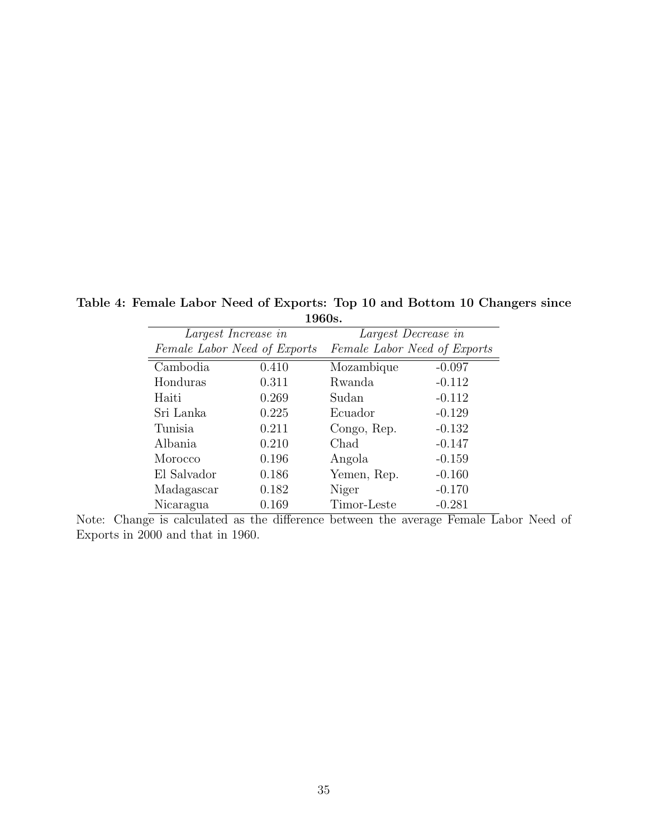|                              | 1900S. |                              |          |  |  |  |  |  |  |
|------------------------------|--------|------------------------------|----------|--|--|--|--|--|--|
| Largest Increase in          |        | Largest Decrease in          |          |  |  |  |  |  |  |
| Female Labor Need of Exports |        | Female Labor Need of Exports |          |  |  |  |  |  |  |
| Cambodia                     | 0.410  | Mozambique                   | $-0.097$ |  |  |  |  |  |  |
| Honduras                     | 0.311  | Rwanda                       | $-0.112$ |  |  |  |  |  |  |
| Haiti                        | 0.269  | Sudan                        | $-0.112$ |  |  |  |  |  |  |
| Sri Lanka                    | 0.225  | Ecuador                      | $-0.129$ |  |  |  |  |  |  |
| Tunisia                      | 0.211  | Congo, Rep.                  | $-0.132$ |  |  |  |  |  |  |
| Albania                      | 0.210  | Chad                         | $-0.147$ |  |  |  |  |  |  |
| Morocco                      | 0.196  | Angola                       | $-0.159$ |  |  |  |  |  |  |
| El Salvador                  | 0.186  | Yemen, Rep.                  | $-0.160$ |  |  |  |  |  |  |
| Madagascar                   | 0.182  | Niger                        | $-0.170$ |  |  |  |  |  |  |
| Nicaragua                    | 0.169  | Timor-Leste                  | $-0.281$ |  |  |  |  |  |  |

Table 4: Female Labor Need of Exports: Top 10 and Bottom 10 Changers since 1960s.

Note: Change is calculated as the difference between the average Female Labor Need of Exports in 2000 and that in 1960.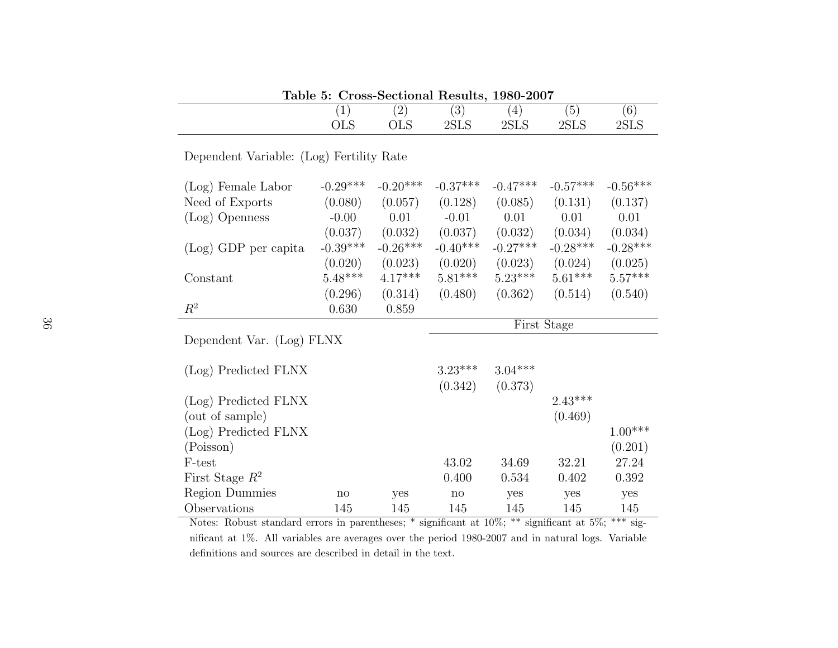|                                          | (1)         | (2)        | (3)        | (4)          | (5)        | (6)        |  |  |  |
|------------------------------------------|-------------|------------|------------|--------------|------------|------------|--|--|--|
|                                          | <b>OLS</b>  | <b>OLS</b> | 2SLS       | $2{\rm SLS}$ | 2SLS       | 2SLS       |  |  |  |
| Dependent Variable: (Log) Fertility Rate |             |            |            |              |            |            |  |  |  |
| (Log) Female Labor                       | $-0.29***$  | $-0.20***$ | $-0.37***$ | $-0.47***$   | $-0.57***$ | $-0.56***$ |  |  |  |
| Need of Exports                          | (0.080)     | (0.057)    | (0.128)    | (0.085)      | (0.131)    | (0.137)    |  |  |  |
| (Log) Openness                           | $-0.00$     | 0.01       | $-0.01$    | 0.01         | 0.01       | 0.01       |  |  |  |
|                                          | (0.037)     | (0.032)    | (0.037)    | (0.032)      | (0.034)    | (0.034)    |  |  |  |
| (Log) GDP per capita                     | $-0.39***$  | $-0.26***$ | $-0.40***$ | $-0.27***$   | $-0.28***$ | $-0.28***$ |  |  |  |
|                                          | (0.020)     | (0.023)    | (0.020)    | (0.023)      | (0.024)    | (0.025)    |  |  |  |
| Constant                                 | $5.48***$   | $4.17***$  | $5.81***$  | $5.23***$    | $5.61***$  | $5.57***$  |  |  |  |
|                                          | (0.296)     | (0.314)    | (0.480)    | (0.362)      | (0.514)    | (0.540)    |  |  |  |
| $R^2$                                    | 0.630       | 0.859      |            |              |            |            |  |  |  |
|                                          | First Stage |            |            |              |            |            |  |  |  |
|                                          |             |            |            |              |            |            |  |  |  |
| Dependent Var. (Log) FLNX                |             |            |            |              |            |            |  |  |  |
|                                          |             |            |            |              |            |            |  |  |  |
| (Log) Predicted FLNX                     |             |            | $3.23***$  | $3.04***$    |            |            |  |  |  |
|                                          |             |            | (0.342)    | (0.373)      |            |            |  |  |  |
| (Log) Predicted FLNX                     |             |            |            |              | $2.43***$  |            |  |  |  |
| (out of sample)                          |             |            |            |              | (0.469)    |            |  |  |  |
| (Log) Predicted FLNX                     |             |            |            |              |            | $1.00***$  |  |  |  |
| (Poisson)                                |             |            |            |              |            | (0.201)    |  |  |  |
| F-test                                   |             |            | 43.02      | 34.69        | 32.21      | 27.24      |  |  |  |
| First Stage $R^2$                        |             |            | 0.400      | 0.534        | 0.402      | 0.392      |  |  |  |
| <b>Region Dummies</b>                    | no          | yes        | no         | yes          | yes        | yes        |  |  |  |

Table 5: Cross-Sectional Results, 1980-2007

 Notes: Robust standard errors in parentheses; \* significant at 10%; \*\* significant at 5%; \*\*\* significant at 1%. All variables are averages over the period 1980-2007 and in natural logs. Variabledefinitions and sources are described in detail in the text.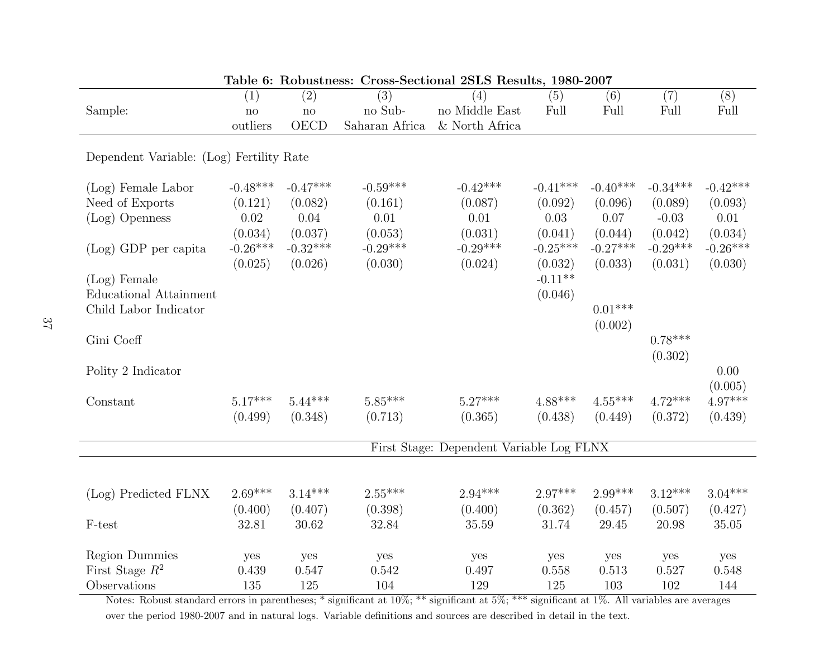| Table 6: Robustness: Cross-Sectional 2SLS Results, 1980-2007 |              |               |                |                                          |            |            |            |            |
|--------------------------------------------------------------|--------------|---------------|----------------|------------------------------------------|------------|------------|------------|------------|
|                                                              | (1)          | (2)           | (3)            | (4)                                      | (5)        | (6)        | (7)        | (8)        |
| Sample:                                                      | $\mathbf{n}$ | $\mathbf{no}$ | no Sub-        | no Middle East                           | Full       | Full       | Full       | Full       |
|                                                              | outliers     | <b>OECD</b>   | Saharan Africa | & North Africa                           |            |            |            |            |
|                                                              |              |               |                |                                          |            |            |            |            |
| Dependent Variable: (Log) Fertility Rate                     |              |               |                |                                          |            |            |            |            |
| (Log) Female Labor                                           | $-0.48***$   | $-0.47***$    | $-0.59***$     | $-0.42***$                               | $-0.41***$ | $-0.40***$ | $-0.34***$ | $-0.42***$ |
| Need of Exports                                              | (0.121)      | (0.082)       | (0.161)        | (0.087)                                  | (0.092)    | (0.096)    | (0.089)    | (0.093)    |
| $(Log)$ Openness                                             | 0.02         | 0.04          | 0.01           | 0.01                                     | 0.03       | 0.07       | $-0.03$    | 0.01       |
|                                                              | (0.034)      | (0.037)       | (0.053)        | (0.031)                                  | (0.041)    | (0.044)    | (0.042)    | (0.034)    |
| $(Log)$ GDP per capita                                       | $-0.26***$   | $-0.32***$    | $-0.29***$     | $-0.29***$                               | $-0.25***$ | $-0.27***$ | $-0.29***$ | $-0.26***$ |
|                                                              | (0.025)      | (0.026)       | (0.030)        | (0.024)                                  | (0.032)    | (0.033)    | (0.031)    | (0.030)    |
| $(Log)$ Female                                               |              |               |                |                                          | $-0.11**$  |            |            |            |
| <b>Educational Attainment</b>                                |              |               |                |                                          | (0.046)    |            |            |            |
| Child Labor Indicator                                        |              |               |                |                                          |            | $0.01***$  |            |            |
|                                                              |              |               |                |                                          |            | (0.002)    |            |            |
| Gini Coeff                                                   |              |               |                |                                          |            |            | $0.78***$  |            |
|                                                              |              |               |                |                                          |            |            | (0.302)    |            |
| Polity 2 Indicator                                           |              |               |                |                                          |            |            |            | 0.00       |
|                                                              |              |               |                |                                          |            |            |            | (0.005)    |
| Constant                                                     | $5.17***$    | $5.44***$     | $5.85***$      | $5.27***$                                | 4.88***    | $4.55***$  | $4.72***$  | 4.97***    |
|                                                              | (0.499)      | (0.348)       | (0.713)        |                                          | (0.438)    | (0.449)    | (0.372)    | (0.439)    |
|                                                              |              |               |                | (0.365)                                  |            |            |            |            |
|                                                              |              |               |                | First Stage: Dependent Variable Log FLNX |            |            |            |            |
|                                                              |              |               |                |                                          |            |            |            |            |
|                                                              |              |               |                |                                          |            |            |            |            |
| (Log) Predicted FLNX                                         | $2.69***$    | $3.14***$     | $2.55***$      | $2.94***$                                | $2.97***$  | $2.99***$  | $3.12***$  | $3.04***$  |
|                                                              | (0.400)      | (0.407)       | (0.398)        | (0.400)                                  | (0.362)    | (0.457)    | (0.507)    | (0.427)    |
| F-test                                                       | 32.81        | 30.62         | 32.84          | 35.59                                    | 31.74      | 29.45      | 20.98      | 35.05      |
|                                                              |              |               |                |                                          |            |            |            |            |
| <b>Region Dummies</b>                                        | yes          | yes           | yes            | yes                                      | yes        | yes        | yes        | yes        |
| First Stage $R^2$                                            | 0.439        | 0.547         | 0.542          | 0.497                                    | 0.558      | 0.513      | 0.527      | 0.548      |
| Observations                                                 | 135          | 125           | 104            | 129                                      | 125        | 103        | 102        | 144        |
|                                                              |              |               |                |                                          |            |            |            |            |

Table 6: Robustness: Cross-Sectional 2SLS Results, 1980-2007

 Notes: Robust standard errors in parentheses; \* significant at 10%; \*\* significant at 5%; \*\*\* significant at 1%. All variables are averagesover the period 1980-2007 and in natural logs. Variable definitions and sources are described in detail in the text.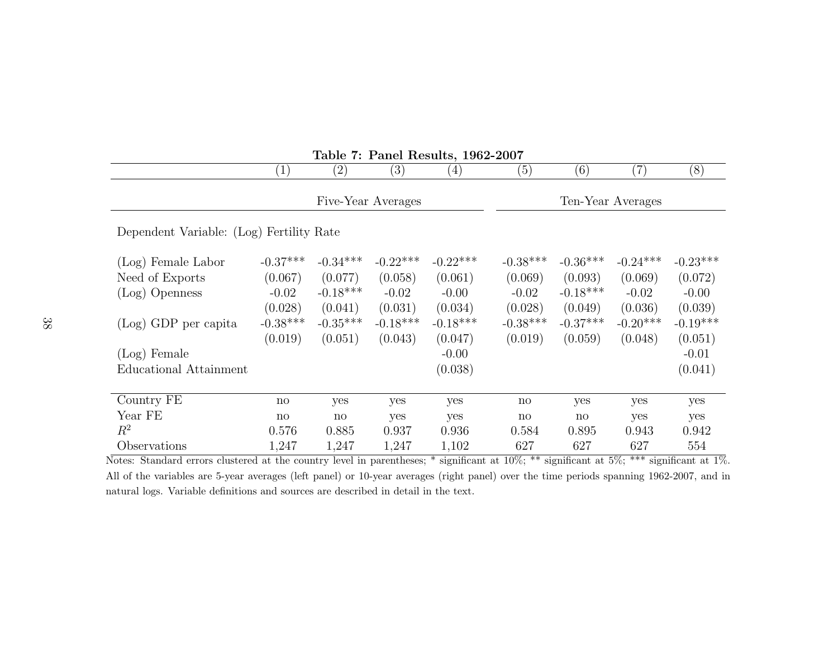| $1800 \cdot 1.$ I and Itesures, $1002 - 2001$ |                        |                     |                   |                   |                        |                        |                   |            |
|-----------------------------------------------|------------------------|---------------------|-------------------|-------------------|------------------------|------------------------|-------------------|------------|
|                                               | $\left( 1\right)$      | $\left( 2\right)$   | $\left( 3\right)$ | $\left( 4\right)$ | (5)                    | (6)                    | (7)               | (8)        |
| Five-Year Averages                            |                        |                     |                   |                   |                        |                        | Ten-Year Averages |            |
| Dependent Variable: (Log) Fertility Rate      |                        |                     |                   |                   |                        |                        |                   |            |
| (Log) Female Labor                            | $-0.37***$             | $-0.34***$          | $-0.22***$        | $-0.22***$        | $-0.38***$             | $-0.36***$             | $-0.24***$        | $-0.23***$ |
| Need of Exports                               | (0.067)                | (0.077)             | (0.058)           | (0.061)           | (0.069)                | (0.093)                | (0.069)           | (0.072)    |
| (Log) Openness                                | $-0.02$                | $-0.18***$          | $-0.02$           | $-0.00$           | $-0.02$                | $-0.18***$             | $-0.02$           | $-0.00$    |
|                                               | (0.028)                | (0.041)             | (0.031)           | (0.034)           | (0.028)                | (0.049)                | (0.036)           | (0.039)    |
| $(Log)$ GDP per capita                        | $-0.38***$             | $-0.35***$          | $-0.18***$        | $-0.18***$        | $-0.38***$             | $-0.37***$             | $-0.20***$        | $-0.19***$ |
|                                               | (0.019)                | (0.051)             | (0.043)           | (0.047)           | (0.019)                | (0.059)                | (0.048)           | (0.051)    |
| $(Log)$ Female                                |                        |                     |                   | $-0.00$           |                        |                        |                   | $-0.01$    |
| Educational Attainment                        |                        |                     |                   | (0.038)           |                        |                        |                   | (0.041)    |
|                                               |                        |                     |                   |                   |                        |                        |                   |            |
| Country FE                                    | $\operatorname{no}$    | yes                 | yes               | yes               | $\mathop{\mathrm{no}}$ | yes                    | yes               | yes        |
| Year FE                                       | $\mathbf{n}\mathbf{o}$ | $\operatorname{no}$ | yes               | yes               | $\operatorname{no}$    | $\mathbf{n}\mathbf{o}$ | yes               | yes        |
| $R^2$                                         | 0.576                  | 0.885               | 0.937             | 0.936             | 0.584                  | 0.895                  | 0.943             | 0.942      |
| Observations                                  | 1,247                  | 1,247               | 1,247             | 1,102             | 627                    | 627                    | 627               | 554        |

Table 7: Panel Results, 1962-2007

 Notes: Standard errors clustered at the country level in parentheses; \* significant at 10%; \*\* significant at 5%; \*\*\* significant at 1%.All of the variables are 5-year averages (left panel) or 10-year averages (right panel) over the time periods spanning 1962-2007, and innatural logs. Variable definitions and sources are described in detail in the text.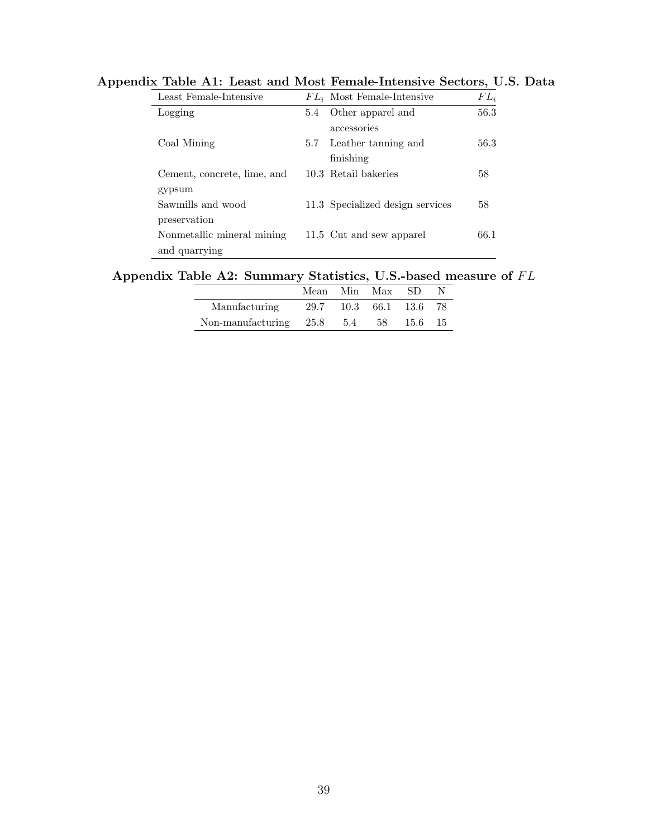| Least Female-Intensive      |     | $FL_i$ Most Female-Intensive     | $FL_i$ |
|-----------------------------|-----|----------------------------------|--------|
| Logging                     | 5.4 | Other apparel and                | 56.3   |
|                             |     | accessories                      |        |
| Coal Mining                 | 5.7 | Leather tanning and              | 56.3   |
|                             |     | finishing                        |        |
| Cement, concrete, lime, and |     | 10.3 Retail bakeries             | 58     |
| gypsum                      |     |                                  |        |
| Sawmills and wood           |     | 11.3 Specialized design services | 58     |
| preservation                |     |                                  |        |
| Nonmetallic mineral mining  |     | 11.5 Cut and sew apparel         | 66.1   |
| and quarrying               |     |                                  |        |
|                             |     |                                  |        |

Appendix Table A1: Least and Most Female-Intensive Sectors, U.S. Data

### Appendix Table A2: Summary Statistics, U.S.-based measure of  $FL$

|                                                 |  | Mean Min Max SD        |  |
|-------------------------------------------------|--|------------------------|--|
| Manufacturing                                   |  | 29.7 10.3 66.1 13.6 78 |  |
| Non-manufacturing $25.8$ $5.4$ $58$ $15.6$ $15$ |  |                        |  |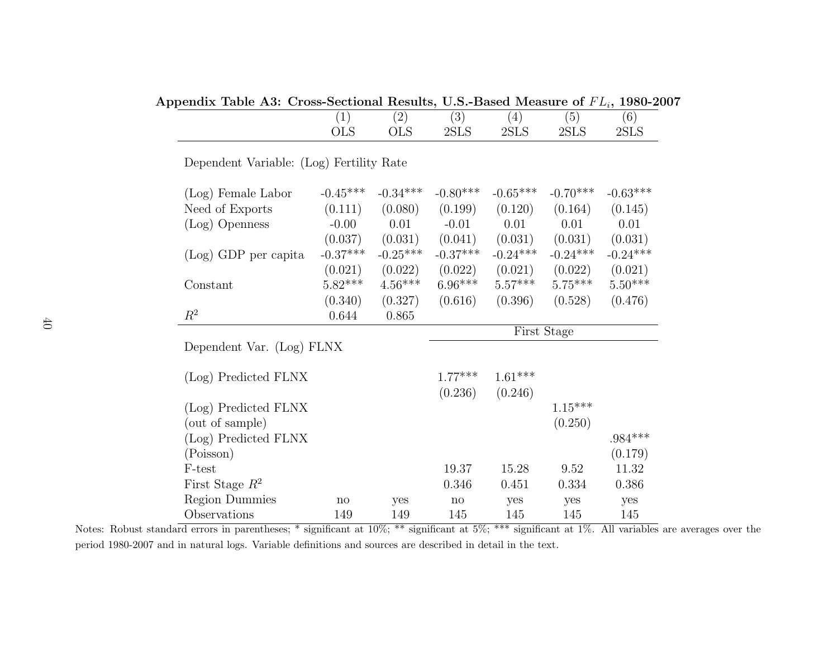Appendix Table A3: Cross-Sectional Results, U.S.-Based Measure of  $FL_i$ , 1980-2007

| -          | $\overline{\phantom{0}}$ | $\Omega$<br>◡  | $^{\prime}4$ . | $\mathcal{O}$ | $6^{\circ}$ |
|------------|--------------------------|----------------|----------------|---------------|-------------|
| <b>OLS</b> | <b>OLS</b>               | 2ST.S<br>AULIO | 2SLS           | 2SLS          | - 2SLS      |

Dependent Variable: (Log) Fertility Rate

| (Log) Female Labor   | $-0.45***$ | $-0.34***$ | $-0.80***$  | $-0.65***$ | $-0.70***$ | $-0.63***$ |  |  |
|----------------------|------------|------------|-------------|------------|------------|------------|--|--|
| Need of Exports      | (0.111)    | (0.080)    | (0.199)     | (0.120)    | (0.164)    | (0.145)    |  |  |
| (Log) Openness       | $-0.00$    | 0.01       | $-0.01$     | 0.01       | 0.01       | 0.01       |  |  |
|                      | (0.037)    | (0.031)    | (0.041)     | (0.031)    | (0.031)    | (0.031)    |  |  |
| (Log) GDP per capita | $-0.37***$ | $-0.25***$ | $-0.37***$  | $-0.24***$ | $-0.24***$ | $-0.24***$ |  |  |
|                      | (0.021)    | (0.022)    | (0.022)     | (0.021)    | (0.022)    | (0.021)    |  |  |
| Constant             | $5.82***$  | $4.56***$  | $6.96***$   | $5.57***$  | $5.75***$  | $5.50***$  |  |  |
|                      | (0.340)    | (0.327)    | (0.616)     | (0.396)    | (0.528)    | (0.476)    |  |  |
| $\,R^2$              | 0.644      | 0.865      |             |            |            |            |  |  |
|                      |            |            | First Stage |            |            |            |  |  |

Dependent Var. (Log) FLNX

| (Log) Predicted FLNX  |     |     | $1.77***$ | $1.61***$ |           |          |
|-----------------------|-----|-----|-----------|-----------|-----------|----------|
|                       |     |     | (0.236)   | (0.246)   |           |          |
| (Log) Predicted FLNX  |     |     |           |           | $1.15***$ |          |
| (out of sample)       |     |     |           |           | (0.250)   |          |
| (Log) Predicted FLNX  |     |     |           |           |           | $984***$ |
| (Poisson)             |     |     |           |           |           | (0.179)  |
| F-test                |     |     | 19.37     | 15.28     | 9.52      | 11.32    |
| First Stage $R^2$     |     |     | 0.346     | 0.451     | 0.334     | 0.386    |
| <b>Region Dummies</b> | no  | yes | no        | yes       | yes       | yes      |
| Observations          | 149 | 149 | 145       | 145       | 145       | 145      |

 Notes: Robust standard errors in parentheses; \* significant at 10%; \*\* significant at 5%; \*\*\* significant at 1%. All variables are averages over theperiod 1980-2007 and in natural logs. Variable definitions and sources are described in detail in the text.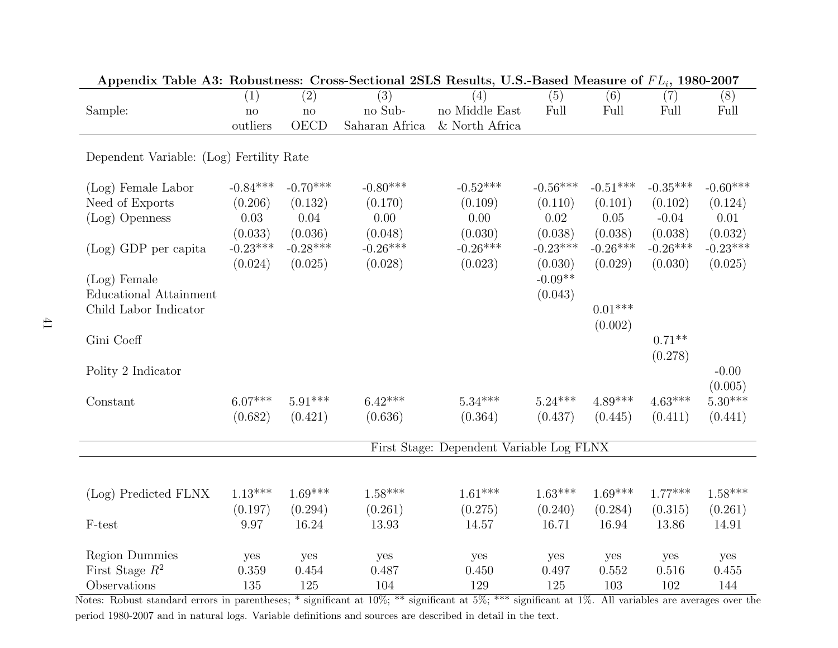| Appendix Table As: Robustness: Cross-Sectional 25LS Results, O.S.-Dased Measure of $FL_i$ , 1900-2007 |                                          |               |                |                |            |            |            |            |  |
|-------------------------------------------------------------------------------------------------------|------------------------------------------|---------------|----------------|----------------|------------|------------|------------|------------|--|
|                                                                                                       | (1)                                      | (2)           | (3)            | (4)            | (5)        | (6)        | (7)        | (8)        |  |
| Sample:                                                                                               | $\mathbf{no}$                            | $\mathbf{no}$ | no Sub-        | no Middle East | Full       | Full       | Full       | Full       |  |
|                                                                                                       | outliers                                 | <b>OECD</b>   | Saharan Africa | & North Africa |            |            |            |            |  |
|                                                                                                       |                                          |               |                |                |            |            |            |            |  |
| Dependent Variable: (Log) Fertility Rate                                                              |                                          |               |                |                |            |            |            |            |  |
|                                                                                                       |                                          |               |                |                |            |            |            |            |  |
| (Log) Female Labor                                                                                    | $-0.84***$                               | $-0.70***$    | $-0.80***$     | $-0.52***$     | $-0.56***$ | $-0.51***$ | $-0.35***$ | $-0.60***$ |  |
| Need of Exports                                                                                       | (0.206)                                  | (0.132)       | (0.170)        | (0.109)        | (0.110)    | (0.101)    | (0.102)    | (0.124)    |  |
| (Log) Openness                                                                                        | $0.03\,$                                 | 0.04          | 0.00           | 0.00           | 0.02       | 0.05       | $-0.04$    | 0.01       |  |
|                                                                                                       | (0.033)                                  | (0.036)       | (0.048)        | (0.030)        | (0.038)    | (0.038)    | (0.038)    | (0.032)    |  |
| (Log) GDP per capita                                                                                  | $-0.23***$                               | $-0.28***$    | $-0.26***$     | $-0.26***$     | $-0.23***$ | $-0.26***$ | $-0.26***$ | $-0.23***$ |  |
|                                                                                                       | (0.024)                                  | (0.025)       | (0.028)        | (0.023)        | (0.030)    | (0.029)    | (0.030)    | (0.025)    |  |
| $(Log)$ Female                                                                                        |                                          |               |                |                | $-0.09**$  |            |            |            |  |
| <b>Educational Attainment</b>                                                                         |                                          |               |                |                | (0.043)    |            |            |            |  |
| Child Labor Indicator                                                                                 |                                          |               |                |                |            | $0.01***$  |            |            |  |
|                                                                                                       |                                          |               |                |                |            | (0.002)    |            |            |  |
| Gini Coeff                                                                                            |                                          |               |                |                |            |            | $0.71**$   |            |  |
|                                                                                                       |                                          |               |                |                |            |            | (0.278)    |            |  |
| Polity 2 Indicator                                                                                    |                                          |               |                |                |            |            |            | $-0.00$    |  |
|                                                                                                       |                                          |               |                |                |            |            |            | (0.005)    |  |
| Constant                                                                                              | $6.07***$                                | $5.91***$     | $6.42***$      | $5.34***$      | $5.24***$  | $4.89***$  | $4.63***$  | $5.30***$  |  |
|                                                                                                       | (0.682)                                  | (0.421)       | (0.636)        | (0.364)        | (0.437)    | (0.445)    | (0.411)    | (0.441)    |  |
|                                                                                                       |                                          |               |                |                |            |            |            |            |  |
|                                                                                                       | First Stage: Dependent Variable Log FLNX |               |                |                |            |            |            |            |  |
|                                                                                                       |                                          |               |                |                |            |            |            |            |  |
|                                                                                                       |                                          |               |                |                |            |            |            |            |  |
| (Log) Predicted FLNX                                                                                  | $1.13***$                                | $1.69***$     | $1.58***$      | $1.61***$      | $1.63***$  | $1.69***$  | $1.77***$  | $1.58***$  |  |
|                                                                                                       | (0.197)                                  | (0.294)       | (0.261)        | (0.275)        | (0.240)    | (0.284)    | (0.315)    | (0.261)    |  |
| F-test                                                                                                | 9.97                                     | 16.24         | 13.93          | 14.57          | 16.71      | 16.94      | 13.86      | 14.91      |  |
|                                                                                                       |                                          |               |                |                |            |            |            |            |  |
| <b>Region Dummies</b>                                                                                 | yes                                      | yes           | yes            | yes            | yes        | yes        | yes        | yes        |  |
| First Stage $R^2$                                                                                     | 0.359                                    | 0.454         | 0.487          | 0.450          | 0.497      | 0.552      | 0.516      | 0.455      |  |
| Observations                                                                                          | 135                                      | 125           | 104            | 129            | 125        | 103        | 102        | 144        |  |

Appendix Table A3: Robustness: Cross-Sectional 2SLS Results, U.S.-Based Measure of  $FL_i$ , 1980-2007

 Notes: Robust standard errors in parentheses; \* significant at 10%; \*\* significant at 5%; \*\*\* significant at 1%. All variables are averages over theperiod 1980-2007 and in natural logs. Variable definitions and sources are described in detail in the text.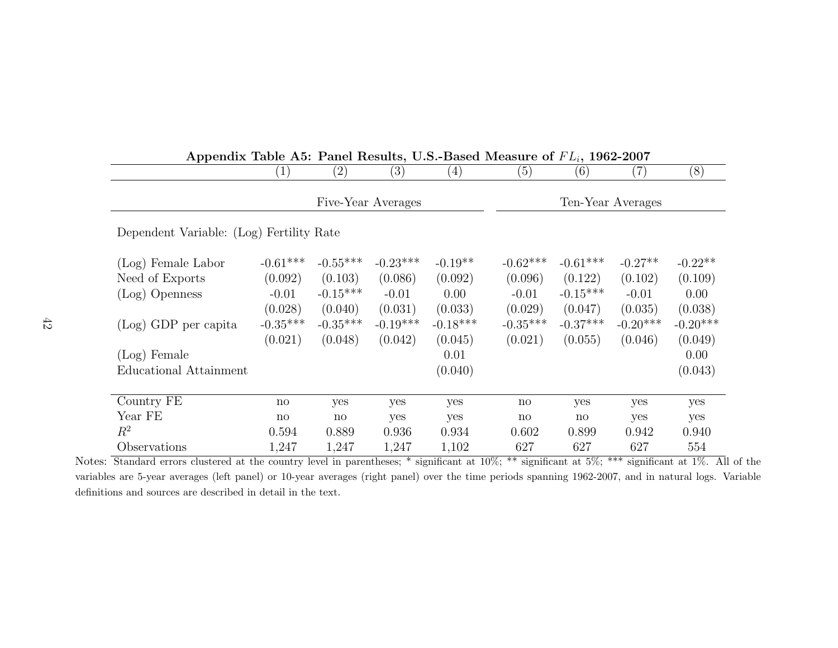| Appendix Table A5: Panel Results, U.S.-Based Measure of $FL_i$ , 1962-2007 |                    |                     |                   |                   |                     |                     |                   |            |  |  |  |
|----------------------------------------------------------------------------|--------------------|---------------------|-------------------|-------------------|---------------------|---------------------|-------------------|------------|--|--|--|
|                                                                            | $\left[1\right]$   | $\left( 2\right)$   | $\left( 3\right)$ | $\left( 4\right)$ | (5)                 | (6)                 | $\left( 7\right)$ | (8)        |  |  |  |
|                                                                            | Five-Year Averages |                     |                   |                   |                     | Ten-Year Averages   |                   |            |  |  |  |
| Dependent Variable: (Log) Fertility Rate                                   |                    |                     |                   |                   |                     |                     |                   |            |  |  |  |
| (Log) Female Labor                                                         | $-0.61***$         | $-0.55***$          | $-0.23***$        | $-0.19**$         | $-0.62***$          | $-0.61***$          | $-0.27**$         | $-0.22**$  |  |  |  |
| Need of Exports                                                            | (0.092)            | (0.103)             | (0.086)           | (0.092)           | (0.096)             | (0.122)             | (0.102)           | (0.109)    |  |  |  |
| (Log) Openness                                                             | $-0.01$            | $-0.15***$          | $-0.01$           | 0.00              | $-0.01$             | $-0.15***$          | $-0.01$           | 0.00       |  |  |  |
|                                                                            | (0.028)            | (0.040)             | (0.031)           | (0.033)           | (0.029)             | (0.047)             | (0.035)           | (0.038)    |  |  |  |
| (Log) GDP per capita                                                       | $-0.35***$         | $-0.35***$          | $-0.19***$        | $-0.18***$        | $-0.35***$          | $-0.37***$          | $-0.20***$        | $-0.20***$ |  |  |  |
|                                                                            | (0.021)            | (0.048)             | (0.042)           | (0.045)           | (0.021)             | (0.055)             | (0.046)           | (0.049)    |  |  |  |
| (Log) Female                                                               |                    |                     |                   | 0.01              |                     |                     |                   | 0.00       |  |  |  |
| Educational Attainment                                                     |                    |                     |                   | (0.040)           |                     |                     |                   | (0.043)    |  |  |  |
|                                                                            |                    |                     |                   |                   |                     |                     |                   |            |  |  |  |
| Country FE                                                                 | no                 | yes                 | yes               | yes               | $\mathbf{n}$        | yes                 | yes               | yes        |  |  |  |
| Year FE                                                                    | no                 | $\operatorname{no}$ | yes               | yes               | $\operatorname{no}$ | $\operatorname{no}$ | yes               | yes        |  |  |  |
| $R^2$                                                                      | 0.594              | 0.889               | 0.936             | 0.934             | 0.602               | 0.899               | 0.942             | 0.940      |  |  |  |
| Observations                                                               | 1,247              | 1,247               | 1,247             | 1,102             | 627                 | 627                 | 627               | 554        |  |  |  |

 Notes: Standard errors clustered at the country level in parentheses; \* significant at 10%; \*\* significant at 5%; \*\*\* significant at 1%. All of the variables are 5-year averages (left panel) or 10-year averages (right panel) over the time periods spanning 1962-2007, and in natural logs. Variabledefinitions and sources are described in detail in the text.